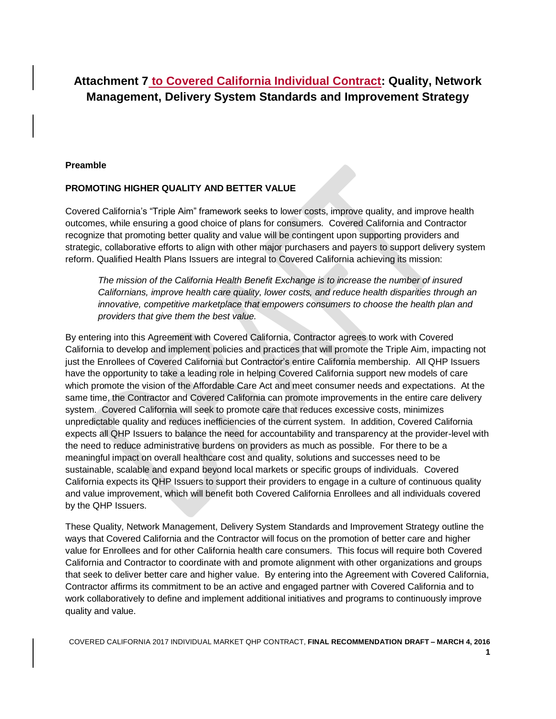# **Attachment 7 to Covered California Individual Contract: Quality, Network Management, Delivery System Standards and Improvement Strategy**

#### **Preamble**

### **PROMOTING HIGHER QUALITY AND BETTER VALUE**

Covered California's "Triple Aim" framework seeks to lower costs, improve quality, and improve health outcomes, while ensuring a good choice of plans for consumers. Covered California and Contractor recognize that promoting better quality and value will be contingent upon supporting providers and strategic, collaborative efforts to align with other major purchasers and payers to support delivery system reform. Qualified Health Plans Issuers are integral to Covered California achieving its mission:

*The mission of the California Health Benefit Exchange is to increase the number of insured Californians, improve health care quality, lower costs, and reduce health disparities through an innovative, competitive marketplace that empowers consumers to choose the health plan and providers that give them the best value.*

By entering into this Agreement with Covered California, Contractor agrees to work with Covered California to develop and implement policies and practices that will promote the Triple Aim, impacting not just the Enrollees of Covered California but Contractor's entire California membership. All QHP Issuers have the opportunity to take a leading role in helping Covered California support new models of care which promote the vision of the Affordable Care Act and meet consumer needs and expectations. At the same time, the Contractor and Covered California can promote improvements in the entire care delivery system. Covered California will seek to promote care that reduces excessive costs, minimizes unpredictable quality and reduces inefficiencies of the current system. In addition, Covered California expects all QHP Issuers to balance the need for accountability and transparency at the provider-level with the need to reduce administrative burdens on providers as much as possible. For there to be a meaningful impact on overall healthcare cost and quality, solutions and successes need to be sustainable, scalable and expand beyond local markets or specific groups of individuals. Covered California expects its QHP Issuers to support their providers to engage in a culture of continuous quality and value improvement, which will benefit both Covered California Enrollees and all individuals covered by the QHP Issuers.

These Quality, Network Management, Delivery System Standards and Improvement Strategy outline the ways that Covered California and the Contractor will focus on the promotion of better care and higher value for Enrollees and for other California health care consumers. This focus will require both Covered California and Contractor to coordinate with and promote alignment with other organizations and groups that seek to deliver better care and higher value. By entering into the Agreement with Covered California, Contractor affirms its commitment to be an active and engaged partner with Covered California and to work collaboratively to define and implement additional initiatives and programs to continuously improve quality and value.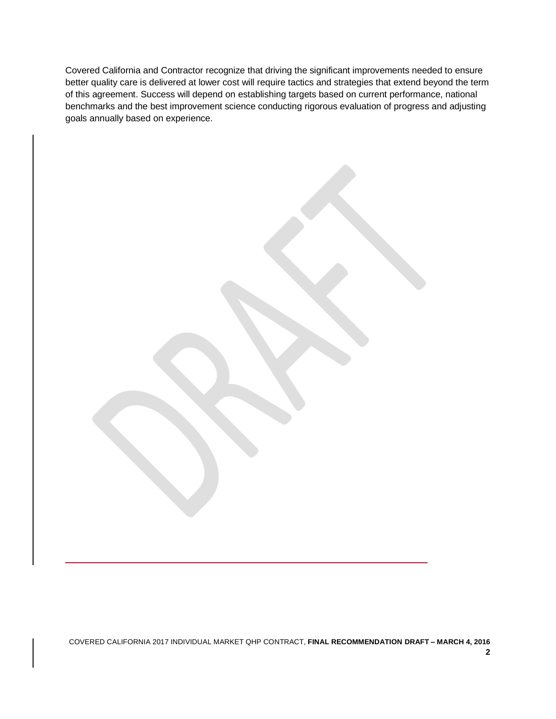Covered California and Contractor recognize that driving the significant improvements needed to ensure better quality care is delivered at lower cost will require tactics and strategies that extend beyond the term of this agreement. Success will depend on establishing targets based on current performance, national benchmarks and the best improvement science conducting rigorous evaluation of progress and adjusting goals annually based on experience.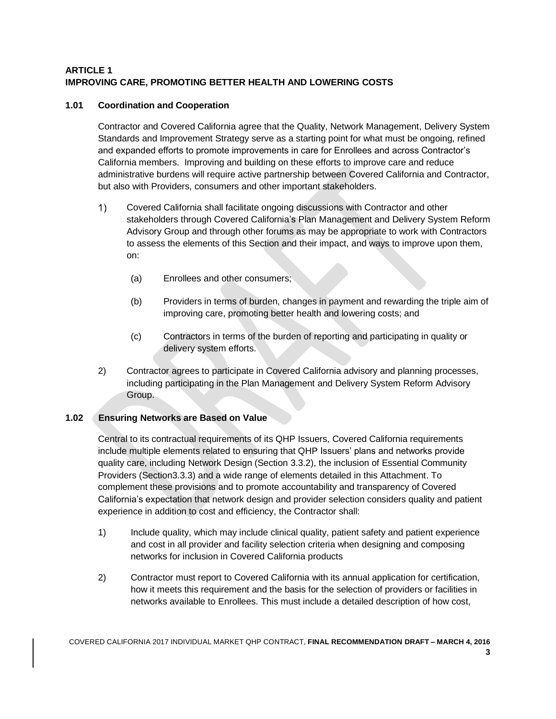# **ARTICLE 1 IMPROVING CARE, PROMOTING BETTER HEALTH AND LOWERING COSTS**

### **1.01 Coordination and Cooperation**

Contractor and Covered California agree that the Quality, Network Management, Delivery System Standards and Improvement Strategy serve as a starting point for what must be ongoing, refined and expanded efforts to promote improvements in care for Enrollees and across Contractor's California members. Improving and building on these efforts to improve care and reduce administrative burdens will require active partnership between Covered California and Contractor, but also with Providers, consumers and other important stakeholders.

- $1)$ Covered California shall facilitate ongoing discussions with Contractor and other stakeholders through Covered California's Plan Management and Delivery System Reform Advisory Group and through other forums as may be appropriate to work with Contractors to assess the elements of this Section and their impact, and ways to improve upon them, on:
	- (a) Enrollees and other consumers;
	- (b) Providers in terms of burden, changes in payment and rewarding the triple aim of improving care, promoting better health and lowering costs; and
	- (c) Contractors in terms of the burden of reporting and participating in quality or delivery system efforts.
- 2) Contractor agrees to participate in Covered California advisory and planning processes, including participating in the Plan Management and Delivery System Reform Advisory Group.

### **1.02 Ensuring Networks are Based on Value**

Central to its contractual requirements of its QHP Issuers, Covered California requirements include multiple elements related to ensuring that QHP Issuers' plans and networks provide quality care, including Network Design (Section 3.3.2), the inclusion of Essential Community Providers (Section3.3.3) and a wide range of elements detailed in this Attachment. To complement these provisions and to promote accountability and transparency of Covered California's expectation that network design and provider selection considers quality and patient experience in addition to cost and efficiency, the Contractor shall:

- 1) Include quality, which may include clinical quality, patient safety and patient experience and cost in all provider and facility selection criteria when designing and composing networks for inclusion in Covered California products
- 2) Contractor must report to Covered California with its annual application for certification, how it meets this requirement and the basis for the selection of providers or facilities in networks available to Enrollees. This must include a detailed description of how cost,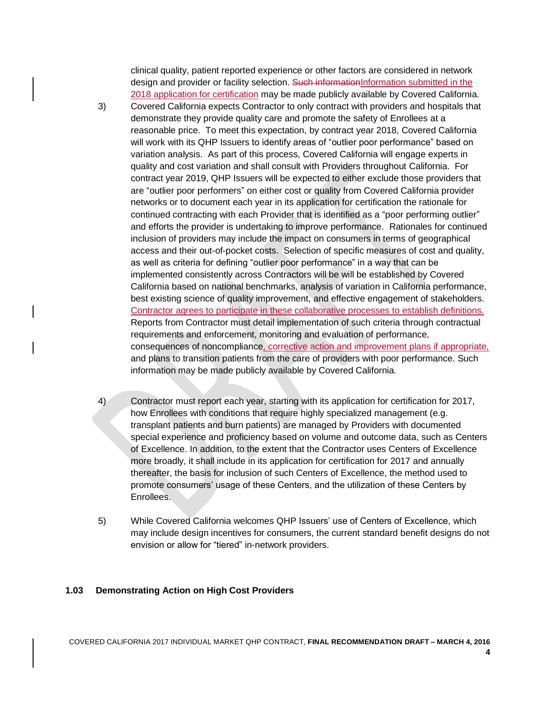clinical quality, patient reported experience or other factors are considered in network design and provider or facility selection. Such informationInformation submitted in the 2018 application for certification may be made publicly available by Covered California.

- 3) Covered California expects Contractor to only contract with providers and hospitals that demonstrate they provide quality care and promote the safety of Enrollees at a reasonable price. To meet this expectation, by contract year 2018, Covered California will work with its QHP Issuers to identify areas of "outlier poor performance" based on variation analysis. As part of this process, Covered California will engage experts in quality and cost variation and shall consult with Providers throughout California. For contract year 2019, QHP Issuers will be expected to either exclude those providers that are "outlier poor performers" on either cost or quality from Covered California provider networks or to document each year in its application for certification the rationale for continued contracting with each Provider that is identified as a "poor performing outlier" and efforts the provider is undertaking to improve performance. Rationales for continued inclusion of providers may include the impact on consumers in terms of geographical access and their out-of-pocket costs. Selection of specific measures of cost and quality, as well as criteria for defining "outlier poor performance" in a way that can be implemented consistently across Contractors will be will be established by Covered California based on national benchmarks, analysis of variation in California performance, best existing science of quality improvement, and effective engagement of stakeholders. Contractor agrees to participate in these collaborative processes to establish definitions. Reports from Contractor must detail implementation of such criteria through contractual requirements and enforcement, monitoring and evaluation of performance, consequences of noncompliance, corrective action and improvement plans if appropriate, and plans to transition patients from the care of providers with poor performance. Such information may be made publicly available by Covered California.
- 4) Contractor must report each year, starting with its application for certification for 2017, how Enrollees with conditions that require highly specialized management (e.g. transplant patients and burn patients) are managed by Providers with documented special experience and proficiency based on volume and outcome data, such as Centers of Excellence. In addition, to the extent that the Contractor uses Centers of Excellence more broadly, it shall include in its application for certification for 2017 and annually thereafter, the basis for inclusion of such Centers of Excellence, the method used to promote consumers' usage of these Centers, and the utilization of these Centers by Enrollees.
- 5) While Covered California welcomes QHP Issuers' use of Centers of Excellence, which may include design incentives for consumers, the current standard benefit designs do not envision or allow for "tiered" in-network providers.

#### **1.03 Demonstrating Action on High Cost Providers**

COVERED CALIFORNIA 2017 INDIVIDUAL MARKET QHP CONTRACT, **FINAL RECOMMENDATION DRAFT – MARCH 4, 2016**

**4**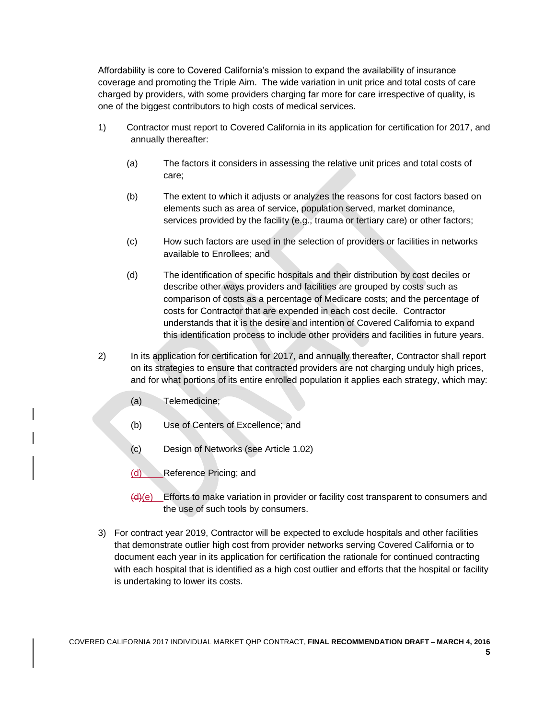Affordability is core to Covered California's mission to expand the availability of insurance coverage and promoting the Triple Aim. The wide variation in unit price and total costs of care charged by providers, with some providers charging far more for care irrespective of quality, is one of the biggest contributors to high costs of medical services.

- 1) Contractor must report to Covered California in its application for certification for 2017, and annually thereafter:
	- (a) The factors it considers in assessing the relative unit prices and total costs of care;
	- (b) The extent to which it adjusts or analyzes the reasons for cost factors based on elements such as area of service, population served, market dominance, services provided by the facility (e.g., trauma or tertiary care) or other factors;
	- (c) How such factors are used in the selection of providers or facilities in networks available to Enrollees; and
	- (d) The identification of specific hospitals and their distribution by cost deciles or describe other ways providers and facilities are grouped by costs such as comparison of costs as a percentage of Medicare costs; and the percentage of costs for Contractor that are expended in each cost decile. Contractor understands that it is the desire and intention of Covered California to expand this identification process to include other providers and facilities in future years.
- 2) In its application for certification for 2017, and annually thereafter, Contractor shall report on its strategies to ensure that contracted providers are not charging unduly high prices, and for what portions of its entire enrolled population it applies each strategy, which may:
	- (a) Telemedicine;
	- (b) Use of Centers of Excellence; and
	- (c) Design of Networks (see Article 1.02)
	- (d) Reference Pricing; and
	- $(d)(e)$  Efforts to make variation in provider or facility cost transparent to consumers and the use of such tools by consumers.
- 3) For contract year 2019, Contractor will be expected to exclude hospitals and other facilities that demonstrate outlier high cost from provider networks serving Covered California or to document each year in its application for certification the rationale for continued contracting with each hospital that is identified as a high cost outlier and efforts that the hospital or facility is undertaking to lower its costs.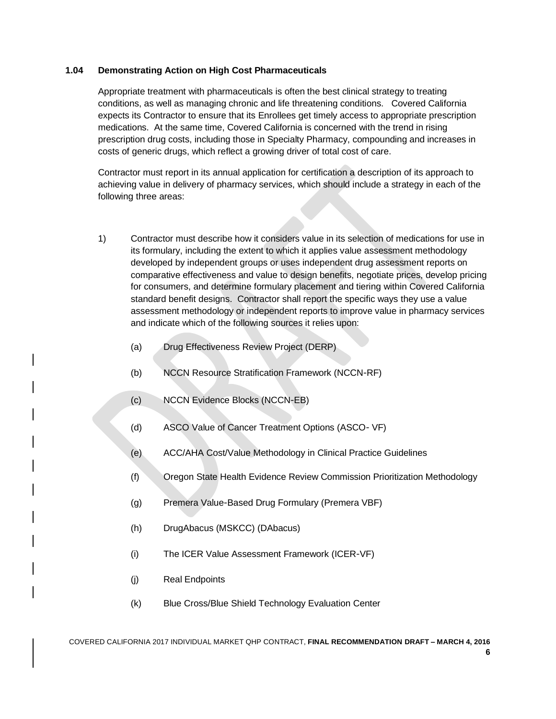### **1.04 Demonstrating Action on High Cost Pharmaceuticals**

Appropriate treatment with pharmaceuticals is often the best clinical strategy to treating conditions, as well as managing chronic and life threatening conditions. Covered California expects its Contractor to ensure that its Enrollees get timely access to appropriate prescription medications. At the same time, Covered California is concerned with the trend in rising prescription drug costs, including those in Specialty Pharmacy, compounding and increases in costs of generic drugs, which reflect a growing driver of total cost of care.

Contractor must report in its annual application for certification a description of its approach to achieving value in delivery of pharmacy services, which should include a strategy in each of the following three areas:

- 1) Contractor must describe how it considers value in its selection of medications for use in its formulary, including the extent to which it applies value assessment methodology developed by independent groups or uses independent drug assessment reports on comparative effectiveness and value to design benefits, negotiate prices, develop pricing for consumers, and determine formulary placement and tiering within Covered California standard benefit designs. Contractor shall report the specific ways they use a value assessment methodology or independent reports to improve value in pharmacy services and indicate which of the following sources it relies upon:
	- (a) Drug Effectiveness Review Project (DERP)
	- (b) NCCN Resource Stratification Framework (NCCN‐RF)
	- (c) NCCN Evidence Blocks (NCCN‐EB)
	- (d) ASCO Value of Cancer Treatment Options (ASCO‐ VF)
	- (e) ACC/AHA Cost/Value Methodology in Clinical Practice Guidelines
	- (f) Oregon State Health Evidence Review Commission Prioritization Methodology
	- (g) Premera Value‐Based Drug Formulary (Premera VBF)
	- (h) DrugAbacus (MSKCC) (DAbacus)
	- (i) The ICER Value Assessment Framework (ICER‐VF)
	- (j) Real Endpoints
	- (k) Blue Cross/Blue Shield Technology Evaluation Center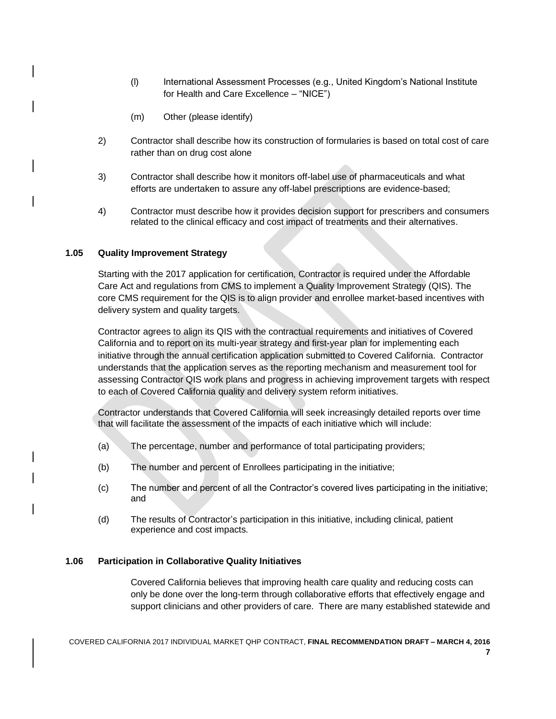- (l) International Assessment Processes (e.g., United Kingdom's National Institute for Health and Care Excellence – "NICE")
- (m) Other (please identify)
- 2) Contractor shall describe how its construction of formularies is based on total cost of care rather than on drug cost alone
- 3) Contractor shall describe how it monitors off-label use of pharmaceuticals and what efforts are undertaken to assure any off-label prescriptions are evidence-based;
- 4) Contractor must describe how it provides decision support for prescribers and consumers related to the clinical efficacy and cost impact of treatments and their alternatives.

#### **1.05 Quality Improvement Strategy**

Starting with the 2017 application for certification, Contractor is required under the Affordable Care Act and regulations from CMS to implement a Quality Improvement Strategy (QIS). The core CMS requirement for the QIS is to align provider and enrollee market-based incentives with delivery system and quality targets.

Contractor agrees to align its QIS with the contractual requirements and initiatives of Covered California and to report on its multi-year strategy and first-year plan for implementing each initiative through the annual certification application submitted to Covered California. Contractor understands that the application serves as the reporting mechanism and measurement tool for assessing Contractor QIS work plans and progress in achieving improvement targets with respect to each of Covered California quality and delivery system reform initiatives.

Contractor understands that Covered California will seek increasingly detailed reports over time that will facilitate the assessment of the impacts of each initiative which will include:

- (a) The percentage, number and performance of total participating providers;
- (b) The number and percent of Enrollees participating in the initiative;
- (c) The number and percent of all the Contractor's covered lives participating in the initiative; and
- (d) The results of Contractor's participation in this initiative, including clinical, patient experience and cost impacts.

#### **1.06 Participation in Collaborative Quality Initiatives**

Covered California believes that improving health care quality and reducing costs can only be done over the long-term through collaborative efforts that effectively engage and support clinicians and other providers of care. There are many established statewide and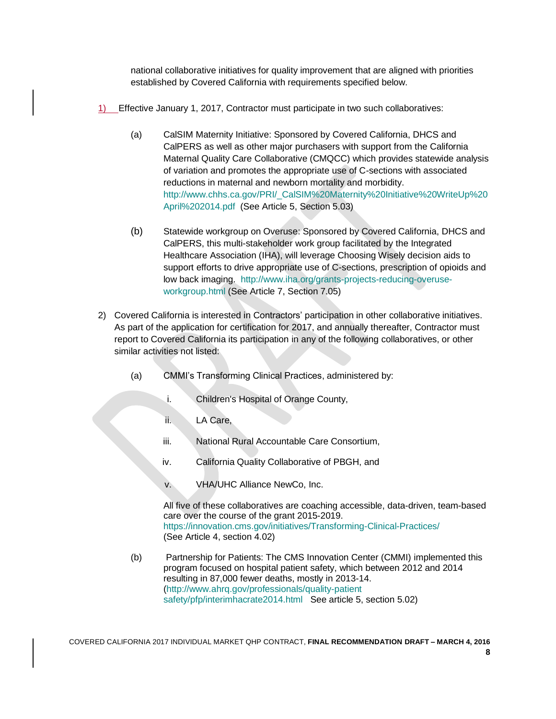national collaborative initiatives for quality improvement that are aligned with priorities established by Covered California with requirements specified below.

- 1) Effective January 1, 2017, Contractor must participate in two such collaboratives:
	- (a) CalSIM Maternity Initiative: Sponsored by Covered California, DHCS and CalPERS as well as other major purchasers with support from the California Maternal Quality Care Collaborative (CMQCC) which provides statewide analysis of variation and promotes the appropriate use of C-sections with associated reductions in maternal and newborn mortality and morbidity. [http://www.chhs.ca.gov/PRI/\\_CalSIM%20Maternity%20Initiative%20WriteUp%20](http://www.chhs.ca.gov/PRI/_CalSIM%20Maternity%20Initiative%20WriteUp%20April%202014.pdf) [April%202014.pdf](http://www.chhs.ca.gov/PRI/_CalSIM%20Maternity%20Initiative%20WriteUp%20April%202014.pdf) (See Article 5, Section 5.03)
	- (b) Statewide workgroup on Overuse: Sponsored by Covered California, DHCS and CalPERS, this multi-stakeholder work group facilitated by the Integrated Healthcare Association (IHA), will leverage Choosing Wisely decision aids to support efforts to drive appropriate use of C-sections, prescription of opioids and low back imaging. [http://www.iha.org/grants-projects-reducing-overuse](http://www.iha.org/grants-projects-reducing-overuse-workgroup.html)[workgroup.html](http://www.iha.org/grants-projects-reducing-overuse-workgroup.html) (See Article 7, Section 7.05)
- 2) Covered California is interested in Contractors' participation in other collaborative initiatives. As part of the application for certification for 2017, and annually thereafter, Contractor must report to Covered California its participation in any of the following collaboratives, or other similar activities not listed:
	- (a) CMMI's Transforming Clinical Practices, administered by:
		- i. Children's Hospital of Orange County,
		- ii. LA Care,
		- iii. National Rural Accountable Care Consortium,
		- iv. California Quality Collaborative of PBGH, and
		- v. VHA/UHC Alliance NewCo, Inc.

All five of these collaboratives are coaching accessible, data-driven, team-based care over the course of the grant 2015-2019. <https://innovation.cms.gov/initiatives/Transforming-Clinical-Practices/> (See Article 4, section 4.02)

(b) Partnership for Patients: The CMS Innovation Center (CMMI) implemented this program focused on hospital patient safety, which between 2012 and 2014 resulting in 87,000 fewer deaths, mostly in 2013-14. [\(http://www.ahrq.gov/professionals/quality-patient](http://www.ahrq.gov/professionals/quality-patient%20safety/pfp/interimhacrate2014.html)  [safety/pfp/interimhacrate2014.html](http://www.ahrq.gov/professionals/quality-patient%20safety/pfp/interimhacrate2014.html) See article 5, section 5.02)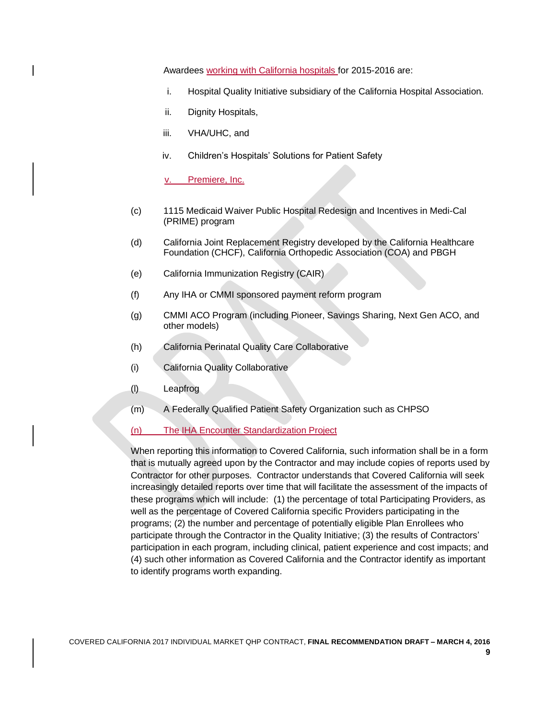Awardees working with California hospitals for 2015-2016 are:

- i. Hospital Quality Initiative subsidiary of the California Hospital Association.
- ii. Dignity Hospitals,
- iii. VHA/UHC, and
- iv. Children's Hospitals' Solutions for Patient Safety

Premiere, Inc.

- (c) 1115 Medicaid Waiver Public Hospital Redesign and Incentives in Medi-Cal (PRIME) program
- (d) California Joint Replacement Registry developed by the California Healthcare Foundation (CHCF), California Orthopedic Association (COA) and PBGH
- (e) California Immunization Registry (CAIR)
- (f) Any IHA or CMMI sponsored payment reform program
- (g) CMMI ACO Program (including Pioneer, Savings Sharing, Next Gen ACO, and other models)
- (h) California Perinatal Quality Care Collaborative
- (i) California Quality Collaborative
- (l) Leapfrog
- (m) A Federally Qualified Patient Safety Organization such as CHPSO
- (n) The IHA Encounter Standardization Project

When reporting this information to Covered California, such information shall be in a form that is mutually agreed upon by the Contractor and may include copies of reports used by Contractor for other purposes. Contractor understands that Covered California will seek increasingly detailed reports over time that will facilitate the assessment of the impacts of these programs which will include: (1) the percentage of total Participating Providers, as well as the percentage of Covered California specific Providers participating in the programs; (2) the number and percentage of potentially eligible Plan Enrollees who participate through the Contractor in the Quality Initiative; (3) the results of Contractors' participation in each program, including clinical, patient experience and cost impacts; and (4) such other information as Covered California and the Contractor identify as important to identify programs worth expanding.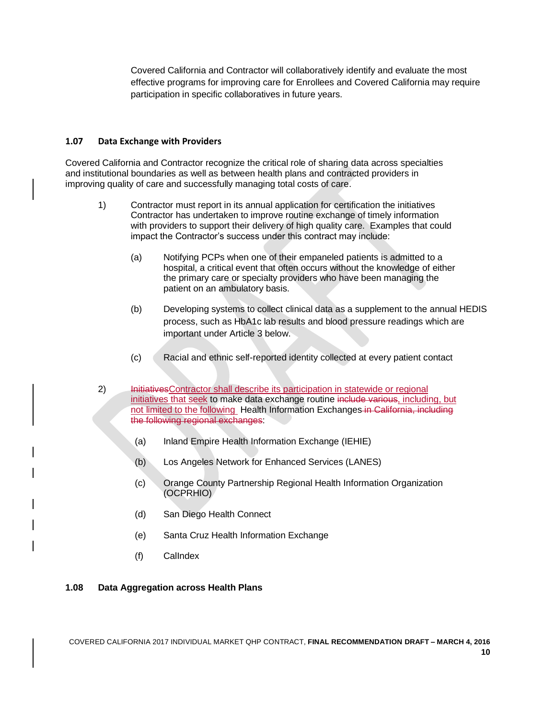Covered California and Contractor will collaboratively identify and evaluate the most effective programs for improving care for Enrollees and Covered California may require participation in specific collaboratives in future years.

#### **1.07 Data Exchange with Providers**

Covered California and Contractor recognize the critical role of sharing data across specialties and institutional boundaries as well as between health plans and contracted providers in improving quality of care and successfully managing total costs of care.

- 1) Contractor must report in its annual application for certification the initiatives Contractor has undertaken to improve routine exchange of timely information with providers to support their delivery of high quality care. Examples that could impact the Contractor's success under this contract may include:
	- (a) Notifying PCPs when one of their empaneled patients is admitted to a hospital, a critical event that often occurs without the knowledge of either the primary care or specialty providers who have been managing the patient on an ambulatory basis.
	- (b) Developing systems to collect clinical data as a supplement to the annual HEDIS process, such as HbA1c lab results and blood pressure readings which are important under Article 3 below.
	- (c) Racial and ethnic self-reported identity collected at every patient contact
- 2) InitiativesContractor shall describe its participation in statewide or regional initiatives that seek to make data exchange routine include various, including, but not limited to the following Health Information Exchanges in California, including the following regional exchanges:
	- (a) Inland Empire Health Information Exchange (IEHIE)
	- (b) Los Angeles Network for Enhanced Services (LANES)
	- (c) Orange County Partnership Regional Health Information Organization (OCPRHIO)
	- (d) San Diego Health Connect
	- (e) Santa Cruz Health Information Exchange
	- (f) CalIndex

### **1.08 Data Aggregation across Health Plans**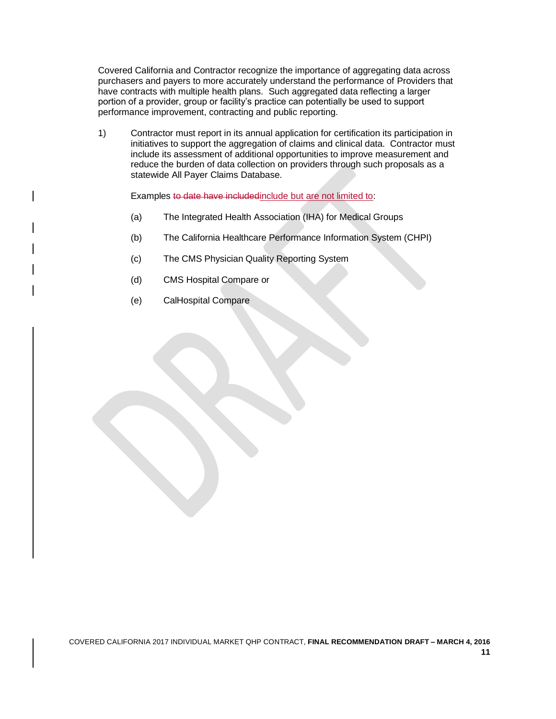Covered California and Contractor recognize the importance of aggregating data across purchasers and payers to more accurately understand the performance of Providers that have contracts with multiple health plans. Such aggregated data reflecting a larger portion of a provider, group or facility's practice can potentially be used to support performance improvement, contracting and public reporting.

1) Contractor must report in its annual application for certification its participation in initiatives to support the aggregation of claims and clinical data. Contractor must include its assessment of additional opportunities to improve measurement and reduce the burden of data collection on providers through such proposals as a statewide All Payer Claims Database.

Examples to date have included include but are not limited to:

- (a) The Integrated Health Association (IHA) for Medical Groups
- (b) The California Healthcare Performance Information System (CHPI)
- (c) The CMS Physician Quality Reporting System
- (d) CMS Hospital Compare or
- (e) CalHospital Compare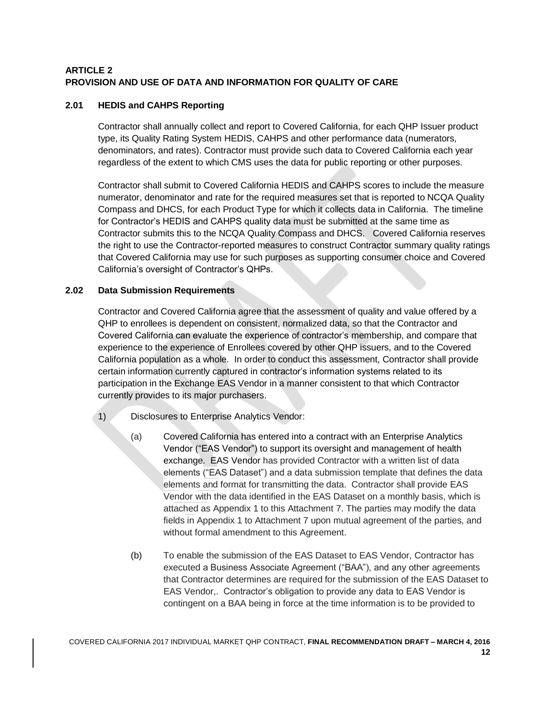# **ARTICLE 2 PROVISION AND USE OF DATA AND INFORMATION FOR QUALITY OF CARE**

# **2.01 HEDIS and CAHPS Reporting**

Contractor shall annually collect and report to Covered California, for each QHP Issuer product type, its Quality Rating System HEDIS, CAHPS and other performance data (numerators, denominators, and rates). Contractor must provide such data to Covered California each year regardless of the extent to which CMS uses the data for public reporting or other purposes.

Contractor shall submit to Covered California HEDIS and CAHPS scores to include the measure numerator, denominator and rate for the required measures set that is reported to NCQA Quality Compass and DHCS, for each Product Type for which it collects data in California. The timeline for Contractor's HEDIS and CAHPS quality data must be submitted at the same time as Contractor submits this to the NCQA Quality Compass and DHCS. Covered California reserves the right to use the Contractor-reported measures to construct Contractor summary quality ratings that Covered California may use for such purposes as supporting consumer choice and Covered California's oversight of Contractor's QHPs.

# **2.02 Data Submission Requirements**

Contractor and Covered California agree that the assessment of quality and value offered by a QHP to enrollees is dependent on consistent, normalized data, so that the Contractor and Covered California can evaluate the experience of contractor's membership, and compare that experience to the experience of Enrollees covered by other QHP issuers, and to the Covered California population as a whole. In order to conduct this assessment, Contractor shall provide certain information currently captured in contractor's information systems related to its participation in the Exchange EAS Vendor in a manner consistent to that which Contractor currently provides to its major purchasers.

- 1) Disclosures to Enterprise Analytics Vendor:
	- (a) Covered California has entered into a contract with an Enterprise Analytics Vendor ("EAS Vendor") to support its oversight and management of health exchange. EAS Vendor has provided Contractor with a written list of data elements ("EAS Dataset") and a data submission template that defines the data elements and format for transmitting the data. Contractor shall provide EAS Vendor with the data identified in the EAS Dataset on a monthly basis, which is attached as Appendix 1 to this Attachment 7. The parties may modify the data fields in Appendix 1 to Attachment 7 upon mutual agreement of the parties, and without formal amendment to this Agreement.
	- (b) To enable the submission of the EAS Dataset to EAS Vendor, Contractor has executed a Business Associate Agreement ("BAA"), and any other agreements that Contractor determines are required for the submission of the EAS Dataset to EAS Vendor,. Contractor's obligation to provide any data to EAS Vendor is contingent on a BAA being in force at the time information is to be provided to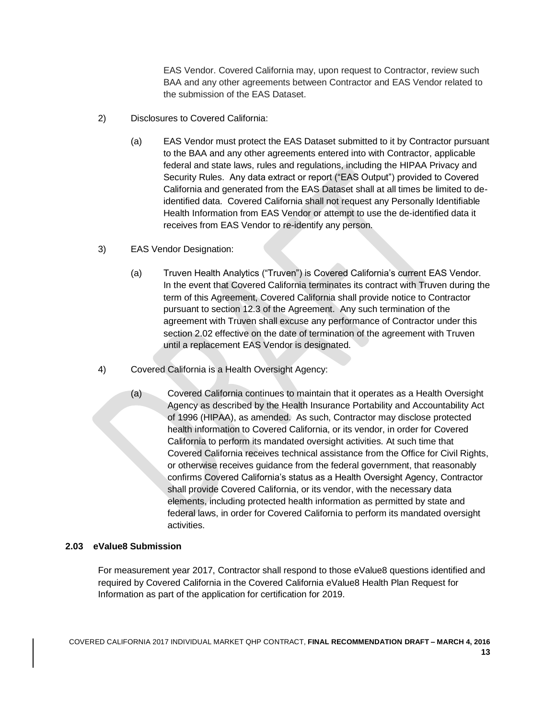EAS Vendor. Covered California may, upon request to Contractor, review such BAA and any other agreements between Contractor and EAS Vendor related to the submission of the EAS Dataset.

- 2) Disclosures to Covered California:
	- (a) EAS Vendor must protect the EAS Dataset submitted to it by Contractor pursuant to the BAA and any other agreements entered into with Contractor, applicable federal and state laws, rules and regulations, including the HIPAA Privacy and Security Rules. Any data extract or report ("EAS Output") provided to Covered California and generated from the EAS Dataset shall at all times be limited to deidentified data. Covered California shall not request any Personally Identifiable Health Information from EAS Vendor or attempt to use the de-identified data it receives from EAS Vendor to re-identify any person.
- 3) EAS Vendor Designation:
	- (a) Truven Health Analytics ("Truven") is Covered California's current EAS Vendor. In the event that Covered California terminates its contract with Truven during the term of this Agreement, Covered California shall provide notice to Contractor pursuant to section 12.3 of the Agreement. Any such termination of the agreement with Truven shall excuse any performance of Contractor under this section 2.02 effective on the date of termination of the agreement with Truven until a replacement EAS Vendor is designated.
- 4) Covered California is a Health Oversight Agency:
	- (a) Covered California continues to maintain that it operates as a Health Oversight Agency as described by the Health Insurance Portability and Accountability Act of 1996 (HIPAA), as amended. As such, Contractor may disclose protected health information to Covered California, or its vendor, in order for Covered California to perform its mandated oversight activities. At such time that Covered California receives technical assistance from the Office for Civil Rights, or otherwise receives guidance from the federal government, that reasonably confirms Covered California's status as a Health Oversight Agency, Contractor shall provide Covered California, or its vendor, with the necessary data elements, including protected health information as permitted by state and federal laws, in order for Covered California to perform its mandated oversight activities.

#### **2.03 eValue8 Submission**

For measurement year 2017, Contractor shall respond to those eValue8 questions identified and required by Covered California in the Covered California eValue8 Health Plan Request for Information as part of the application for certification for 2019.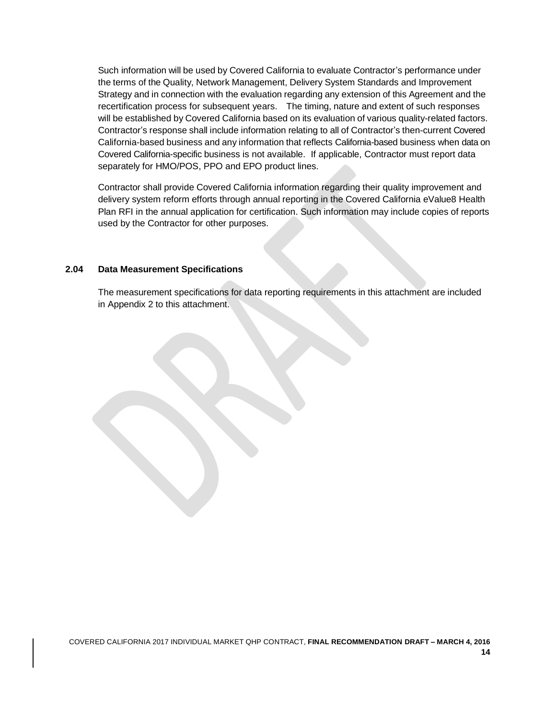Such information will be used by Covered California to evaluate Contractor's performance under the terms of the Quality, Network Management, Delivery System Standards and Improvement Strategy and in connection with the evaluation regarding any extension of this Agreement and the recertification process for subsequent years. The timing, nature and extent of such responses will be established by Covered California based on its evaluation of various quality-related factors. Contractor's response shall include information relating to all of Contractor's then-current Covered California-based business and any information that reflects California-based business when data on Covered California-specific business is not available. If applicable, Contractor must report data separately for HMO/POS, PPO and EPO product lines.

Contractor shall provide Covered California information regarding their quality improvement and delivery system reform efforts through annual reporting in the Covered California eValue8 Health Plan RFI in the annual application for certification. Such information may include copies of reports used by the Contractor for other purposes.

### **2.04 Data Measurement Specifications**

The measurement specifications for data reporting requirements in this attachment are included in Appendix 2 to this attachment.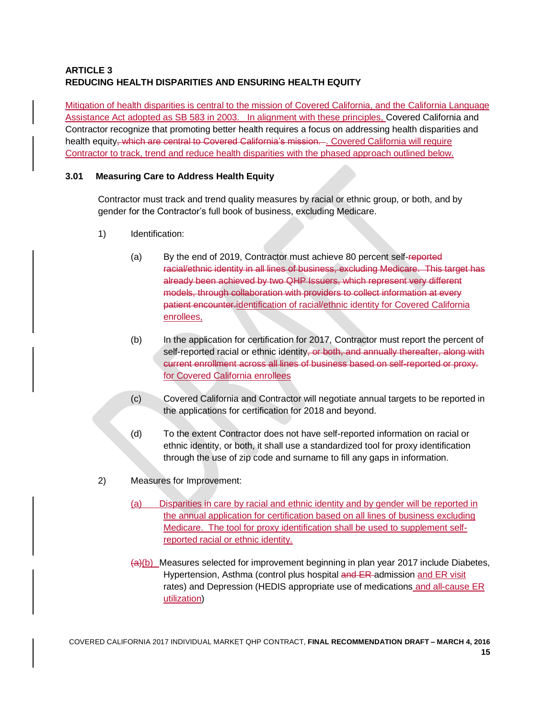# **ARTICLE 3 REDUCING HEALTH DISPARITIES AND ENSURING HEALTH EQUITY**

Mitigation of health disparities is central to the mission of Covered California, and the California Language Assistance Act adopted as SB 583 in 2003. In alignment with these principles, Covered California and Contractor recognize that promoting better health requires a focus on addressing health disparities and health equity, which are central to Covered California's mission. . Covered California will require Contractor to track, trend and reduce health disparities with the phased approach outlined below.

### **3.01 Measuring Care to Address Health Equity**

Contractor must track and trend quality measures by racial or ethnic group, or both, and by gender for the Contractor's full book of business, excluding Medicare.

- 1) Identification:
	- (a) By the end of 2019, Contractor must achieve 80 percent self-reported racial/ethnic identity in all lines of business, excluding Medicare. This target has already been achieved by two QHP Issuers, which represent very different models, through collaboration with providers to collect information at every patient encounter.identification of racial/ethnic identity for Covered California enrollees,
	- (b) In the application for certification for 2017, Contractor must report the percent of self-reported racial or ethnic identity, or both, and annually thereafter, along with current enrollment across all lines of business based on self-reported or proxy. for Covered California enrollees
	- (c) Covered California and Contractor will negotiate annual targets to be reported in the applications for certification for 2018 and beyond.
	- (d) To the extent Contractor does not have self-reported information on racial or ethnic identity, or both, it shall use a standardized tool for proxy identification through the use of zip code and surname to fill any gaps in information.
- 2) Measures for Improvement:
	- (a) Disparities in care by racial and ethnic identity and by gender will be reported in the annual application for certification based on all lines of business excluding Medicare. The tool for proxy identification shall be used to supplement selfreported racial or ethnic identity.
	- $\left\langle \frac{a}{b} \right\rangle$  Measures selected for improvement beginning in plan year 2017 include Diabetes, Hypertension, Asthma (control plus hospital and ER-admission and ER visit rates) and Depression (HEDIS appropriate use of medications and all-cause ER utilization)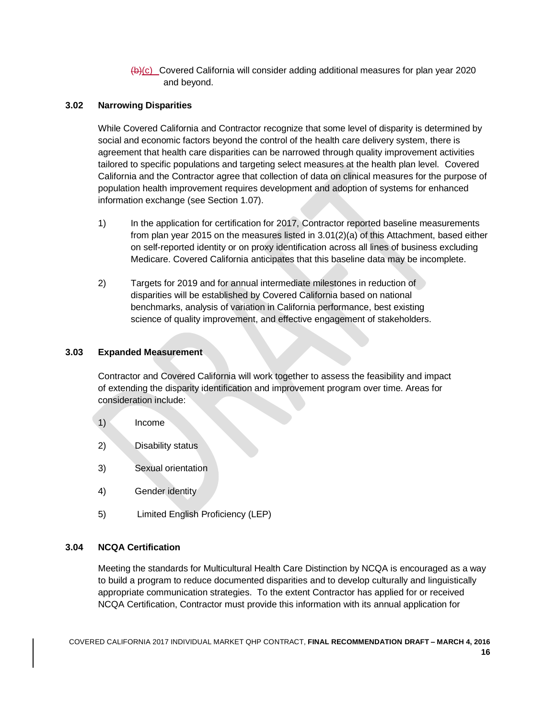(b)(c) Covered California will consider adding additional measures for plan year 2020 and beyond.

### **3.02 Narrowing Disparities**

While Covered California and Contractor recognize that some level of disparity is determined by social and economic factors beyond the control of the health care delivery system, there is agreement that health care disparities can be narrowed through quality improvement activities tailored to specific populations and targeting select measures at the health plan level. Covered California and the Contractor agree that collection of data on clinical measures for the purpose of population health improvement requires development and adoption of systems for enhanced information exchange (see Section 1.07).

- 1) In the application for certification for 2017, Contractor reported baseline measurements from plan year 2015 on the measures listed in 3.01(2)(a) of this Attachment, based either on self-reported identity or on proxy identification across all lines of business excluding Medicare. Covered California anticipates that this baseline data may be incomplete.
- 2) Targets for 2019 and for annual intermediate milestones in reduction of disparities will be established by Covered California based on national benchmarks, analysis of variation in California performance, best existing science of quality improvement, and effective engagement of stakeholders.

#### **3.03 Expanded Measurement**

Contractor and Covered California will work together to assess the feasibility and impact of extending the disparity identification and improvement program over time. Areas for consideration include:

- 1) Income
- 2) Disability status
- 3) Sexual orientation
- 4) Gender identity
- 5) Limited English Proficiency (LEP)

### **3.04 NCQA Certification**

Meeting the standards for Multicultural Health Care Distinction by NCQA is encouraged as a way to build a program to reduce documented disparities and to develop culturally and linguistically appropriate communication strategies. To the extent Contractor has applied for or received NCQA Certification, Contractor must provide this information with its annual application for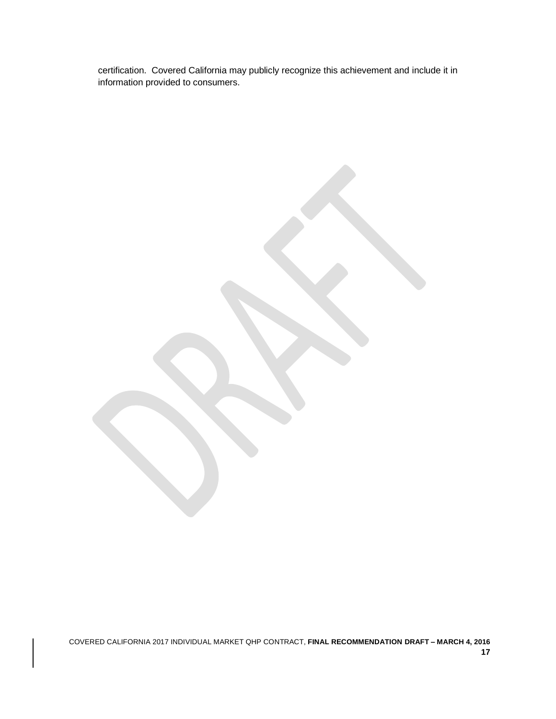certification. Covered California may publicly recognize this achievement and include it in information provided to consumers.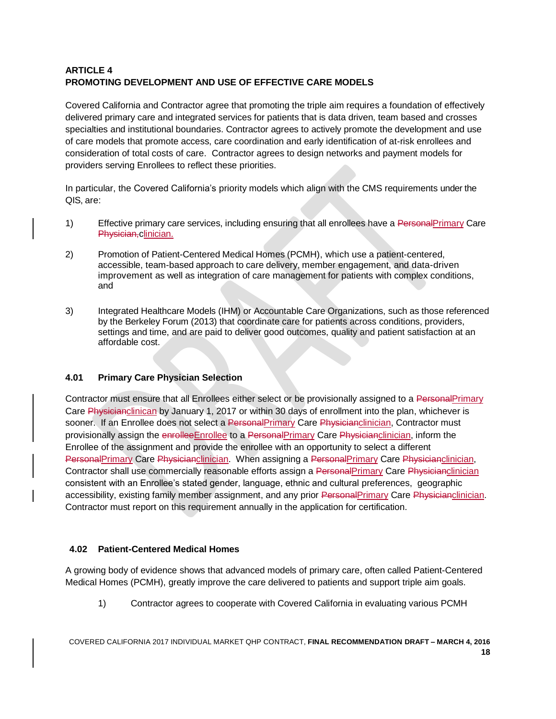# **ARTICLE 4 PROMOTING DEVELOPMENT AND USE OF EFFECTIVE CARE MODELS**

Covered California and Contractor agree that promoting the triple aim requires a foundation of effectively delivered primary care and integrated services for patients that is data driven, team based and crosses specialties and institutional boundaries. Contractor agrees to actively promote the development and use of care models that promote access, care coordination and early identification of at-risk enrollees and consideration of total costs of care. Contractor agrees to design networks and payment models for providers serving Enrollees to reflect these priorities.

In particular, the Covered California's priority models which align with the CMS requirements under the QIS, are:

- 1) Effective primary care services, including ensuring that all enrollees have a PersonalPrimary Care Physician, clinician.
- 2) Promotion of Patient-Centered Medical Homes (PCMH), which use a patient-centered, accessible, team-based approach to care delivery, member engagement, and data-driven improvement as well as integration of care management for patients with complex conditions, and
- 3) Integrated Healthcare Models (IHM) or Accountable Care Organizations, such as those referenced by the Berkeley Forum (2013) that coordinate care for patients across conditions, providers, settings and time, and are paid to deliver good outcomes, quality and patient satisfaction at an affordable cost.

### **4.01 Primary Care Physician Selection**

Contractor must ensure that all Enrollees either select or be provisionally assigned to a PersonalPrimary Care Physicianclinican by January 1, 2017 or within 30 days of enrollment into the plan, whichever is sooner. If an Enrollee does not select a PersonalPrimary Care Physicianclinician, Contractor must provisionally assign the enrolleeEnrollee to a PersonalPrimary Care Physicianclinician, inform the Enrollee of the assignment and provide the enrollee with an opportunity to select a different PersonalPrimary Care Physicianclinician. When assigning a PersonalPrimary Care Physicianclinician, Contractor shall use commercially reasonable efforts assign a PersonalPrimary Care Physicianclinician consistent with an Enrollee's stated gender, language, ethnic and cultural preferences, geographic accessibility, existing family member assignment, and any prior PersonalPrimary Care Physicianclinician. Contractor must report on this requirement annually in the application for certification.

# **4.02 Patient-Centered Medical Homes**

A growing body of evidence shows that advanced models of primary care, often called Patient-Centered Medical Homes (PCMH), greatly improve the care delivered to patients and support triple aim goals.

1) Contractor agrees to cooperate with Covered California in evaluating various PCMH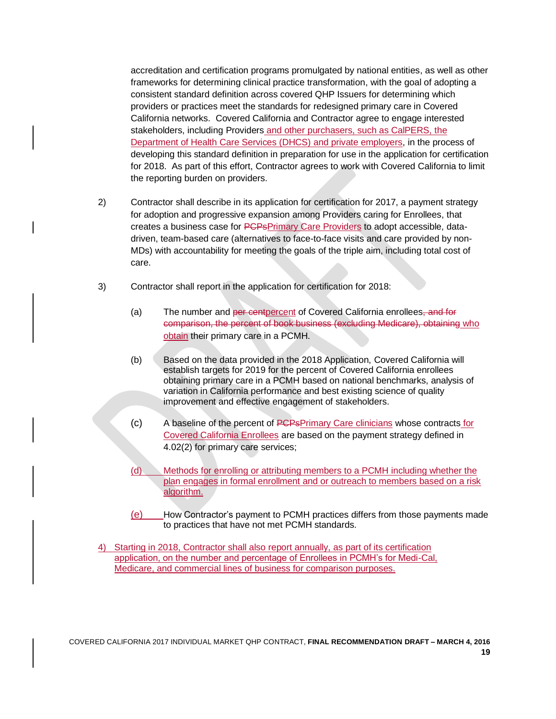accreditation and certification programs promulgated by national entities, as well as other frameworks for determining clinical practice transformation, with the goal of adopting a consistent standard definition across covered QHP Issuers for determining which providers or practices meet the standards for redesigned primary care in Covered California networks. Covered California and Contractor agree to engage interested stakeholders, including Providers and other purchasers, such as CalPERS, the Department of Health Care Services (DHCS) and private employers, in the process of developing this standard definition in preparation for use in the application for certification for 2018. As part of this effort, Contractor agrees to work with Covered California to limit the reporting burden on providers.

- 2) Contractor shall describe in its application for certification for 2017, a payment strategy for adoption and progressive expansion among Providers caring for Enrollees, that creates a business case for PCPsPrimary Care Providers to adopt accessible, datadriven, team-based care (alternatives to face-to-face visits and care provided by non-MDs) with accountability for meeting the goals of the triple aim, including total cost of care.
- 3) Contractor shall report in the application for certification for 2018:
	- (a) The number and per centpercent of Covered California enrollees, and for comparison, the percent of book business (excluding Medicare), obtaining who obtain their primary care in a PCMH.
	- (b) Based on the data provided in the 2018 Application, Covered California will establish targets for 2019 for the percent of Covered California enrollees obtaining primary care in a PCMH based on national benchmarks, analysis of variation in California performance and best existing science of quality improvement and effective engagement of stakeholders.
	- (c) A baseline of the percent of PCPsPrimary Care clinicians whose contracts for Covered California Enrollees are based on the payment strategy defined in 4.02(2) for primary care services;
	- (d) Methods for enrolling or attributing members to a PCMH including whether the plan engages in formal enrollment and or outreach to members based on a risk algorithm.
	- (e) How Contractor's payment to PCMH practices differs from those payments made to practices that have not met PCMH standards.
- 4) Starting in 2018, Contractor shall also report annually, as part of its certification application, on the number and percentage of Enrollees in PCMH's for Medi-Cal, Medicare, and commercial lines of business for comparison purposes.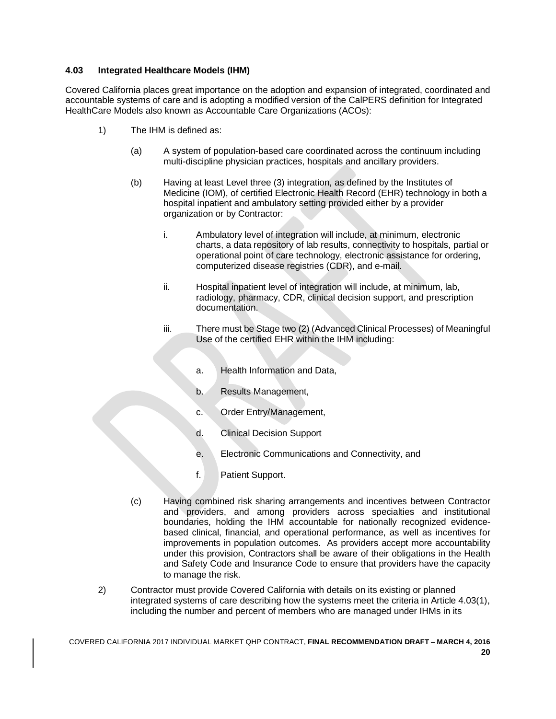### **4.03 Integrated Healthcare Models (IHM)**

Covered California places great importance on the adoption and expansion of integrated, coordinated and accountable systems of care and is adopting a modified version of the CalPERS definition for Integrated HealthCare Models also known as Accountable Care Organizations (ACOs):

- 1) The IHM is defined as:
	- (a) A system of population-based care coordinated across the continuum including multi-discipline physician practices, hospitals and ancillary providers.
	- (b) Having at least Level three (3) integration, as defined by the Institutes of Medicine (IOM), of certified Electronic Health Record (EHR) technology in both a hospital inpatient and ambulatory setting provided either by a provider organization or by Contractor:
		- i. Ambulatory level of integration will include, at minimum, electronic charts, a data repository of lab results, connectivity to hospitals, partial or operational point of care technology, electronic assistance for ordering, computerized disease registries (CDR), and e-mail.
		- ii. Hospital inpatient level of integration will include, at minimum, lab, radiology, pharmacy, CDR, clinical decision support, and prescription documentation.
		- iii. There must be Stage two (2) (Advanced Clinical Processes) of Meaningful Use of the certified EHR within the IHM including:
			- a. Health Information and Data,
			- b. Results Management,
			- c. Order Entry/Management,
			- d. Clinical Decision Support
			- e. Electronic Communications and Connectivity, and
			- f. Patient Support.
	- (c) Having combined risk sharing arrangements and incentives between Contractor and providers, and among providers across specialties and institutional boundaries, holding the IHM accountable for nationally recognized evidencebased clinical, financial, and operational performance, as well as incentives for improvements in population outcomes. As providers accept more accountability under this provision, Contractors shall be aware of their obligations in the Health and Safety Code and Insurance Code to ensure that providers have the capacity to manage the risk.
- 2) Contractor must provide Covered California with details on its existing or planned integrated systems of care describing how the systems meet the criteria in Article 4.03(1), including the number and percent of members who are managed under IHMs in its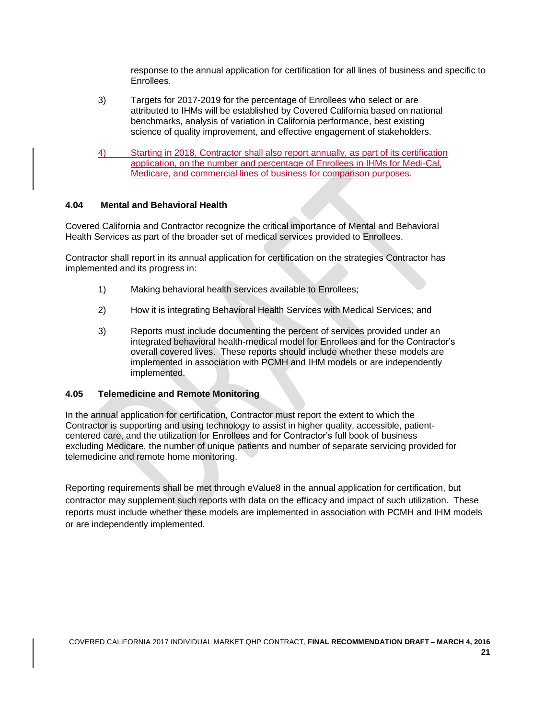response to the annual application for certification for all lines of business and specific to Enrollees.

- 3) Targets for 2017-2019 for the percentage of Enrollees who select or are attributed to IHMs will be established by Covered California based on national benchmarks, analysis of variation in California performance, best existing science of quality improvement, and effective engagement of stakeholders.
- 4) Starting in 2018, Contractor shall also report annually, as part of its certification application, on the number and percentage of Enrollees in IHMs for Medi-Cal, Medicare, and commercial lines of business for comparison purposes.

### **4.04 Mental and Behavioral Health**

Covered California and Contractor recognize the critical importance of Mental and Behavioral Health Services as part of the broader set of medical services provided to Enrollees.

Contractor shall report in its annual application for certification on the strategies Contractor has implemented and its progress in:

- 1) Making behavioral health services available to Enrollees;
- 2) How it is integrating Behavioral Health Services with Medical Services; and
- 3) Reports must include documenting the percent of services provided under an integrated behavioral health-medical model for Enrollees and for the Contractor's overall covered lives. These reports should include whether these models are implemented in association with PCMH and IHM models or are independently implemented.

### **4.05 Telemedicine and Remote Monitoring**

In the annual application for certification, Contractor must report the extent to which the Contractor is supporting and using technology to assist in higher quality, accessible, patientcentered care, and the utilization for Enrollees and for Contractor's full book of business excluding Medicare, the number of unique patients and number of separate servicing provided for telemedicine and remote home monitoring.

Reporting requirements shall be met through eValue8 in the annual application for certification, but contractor may supplement such reports with data on the efficacy and impact of such utilization. These reports must include whether these models are implemented in association with PCMH and IHM models or are independently implemented.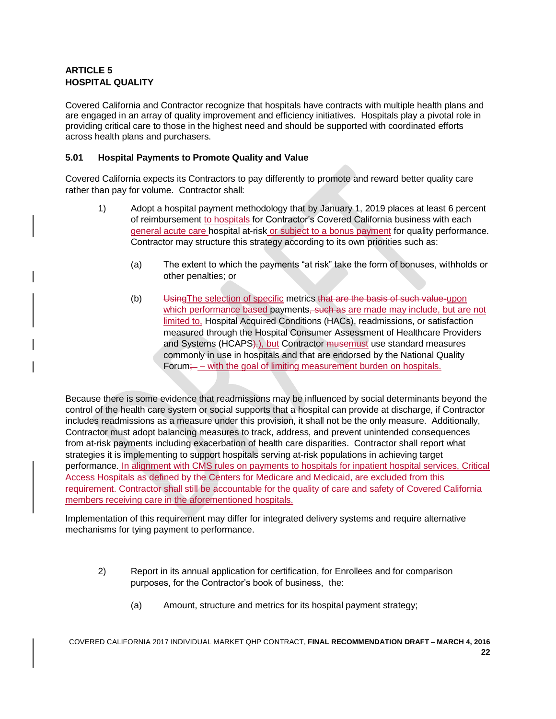# **ARTICLE 5 HOSPITAL QUALITY**

Covered California and Contractor recognize that hospitals have contracts with multiple health plans and are engaged in an array of quality improvement and efficiency initiatives. Hospitals play a pivotal role in providing critical care to those in the highest need and should be supported with coordinated efforts across health plans and purchasers.

### **5.01 Hospital Payments to Promote Quality and Value**

Covered California expects its Contractors to pay differently to promote and reward better quality care rather than pay for volume. Contractor shall:

- 1) Adopt a hospital payment methodology that by January 1, 2019 places at least 6 percent of reimbursement to hospitals for Contractor's Covered California business with each general acute care hospital at-risk or subject to a bonus payment for quality performance. Contractor may structure this strategy according to its own priorities such as:
	- (a) The extent to which the payments "at risk" take the form of bonuses, withholds or other penalties; or
	- (b) Using The selection of specific metrics that are the basis of such value-upon which performance based payments, such as are made may include, but are not limited to, Hospital Acquired Conditions (HACs), readmissions, or satisfaction measured through the Hospital Consumer Assessment of Healthcare Providers and Systems (HCAPS). but Contractor musemust use standard measures commonly in use in hospitals and that are endorsed by the National Quality Forum; – with the goal of limiting measurement burden on hospitals.

Because there is some evidence that readmissions may be influenced by social determinants beyond the control of the health care system or social supports that a hospital can provide at discharge, if Contractor includes readmissions as a measure under this provision, it shall not be the only measure. Additionally, Contractor must adopt balancing measures to track, address, and prevent unintended consequences from at-risk payments including exacerbation of health care disparities. Contractor shall report what strategies it is implementing to support hospitals serving at-risk populations in achieving target performance. In alignment with CMS rules on payments to hospitals for inpatient hospital services, Critical Access Hospitals as defined by the Centers for Medicare and Medicaid, are excluded from this requirement. Contractor shall still be accountable for the quality of care and safety of Covered California members receiving care in the aforementioned hospitals.

Implementation of this requirement may differ for integrated delivery systems and require alternative mechanisms for tying payment to performance.

- 2) Report in its annual application for certification, for Enrollees and for comparison purposes, for the Contractor's book of business, the:
	- (a) Amount, structure and metrics for its hospital payment strategy;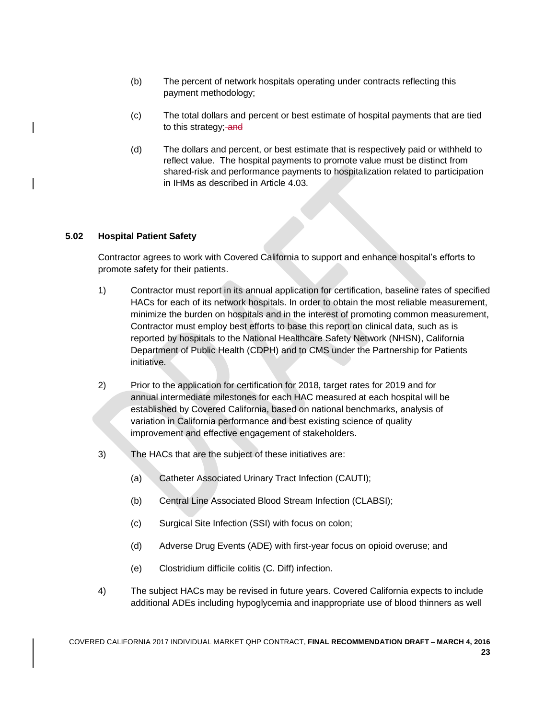- (b) The percent of network hospitals operating under contracts reflecting this payment methodology;
- (c) The total dollars and percent or best estimate of hospital payments that are tied to this strategy; and
- (d) The dollars and percent, or best estimate that is respectively paid or withheld to reflect value. The hospital payments to promote value must be distinct from shared-risk and performance payments to hospitalization related to participation in IHMs as described in Article 4.03.

### **5.02 Hospital Patient Safety**

Contractor agrees to work with Covered California to support and enhance hospital's efforts to promote safety for their patients.

- 1) Contractor must report in its annual application for certification, baseline rates of specified HACs for each of its network hospitals. In order to obtain the most reliable measurement, minimize the burden on hospitals and in the interest of promoting common measurement, Contractor must employ best efforts to base this report on clinical data, such as is reported by hospitals to the National Healthcare Safety Network (NHSN), California Department of Public Health (CDPH) and to CMS under the Partnership for Patients initiative.
- 2) Prior to the application for certification for 2018, target rates for 2019 and for annual intermediate milestones for each HAC measured at each hospital will be established by Covered California, based on national benchmarks, analysis of variation in California performance and best existing science of quality improvement and effective engagement of stakeholders.
- 3) The HACs that are the subject of these initiatives are:
	- (a) Catheter Associated Urinary Tract Infection (CAUTI);
	- (b) Central Line Associated Blood Stream Infection (CLABSI);
	- (c) Surgical Site Infection (SSI) with focus on colon;
	- (d) Adverse Drug Events (ADE) with first-year focus on opioid overuse; and
	- (e) Clostridium difficile [colitis](http://www.webmd.com/ibd-crohns-disease/ulcerative-colitis/default.htm) (C. Diff) infection.
- 4) The subject HACs may be revised in future years. Covered California expects to include additional ADEs including hypoglycemia and inappropriate use of blood thinners as well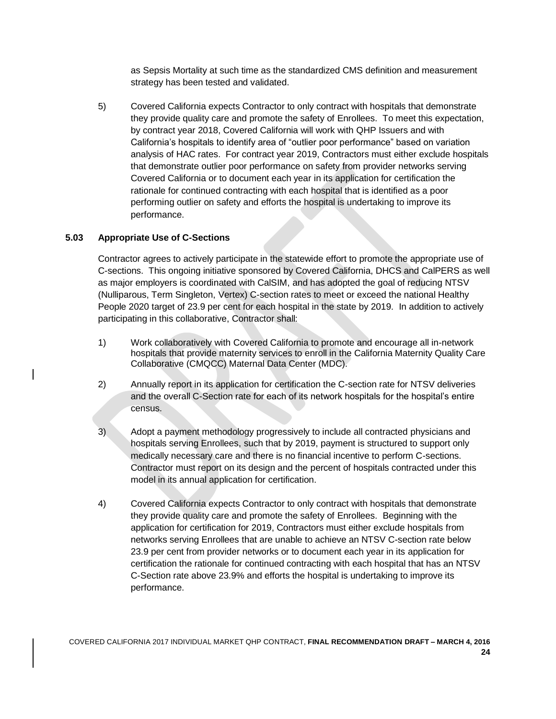as Sepsis Mortality at such time as the standardized CMS definition and measurement strategy has been tested and validated.

5) Covered California expects Contractor to only contract with hospitals that demonstrate they provide quality care and promote the safety of Enrollees. To meet this expectation, by contract year 2018, Covered California will work with QHP Issuers and with California's hospitals to identify area of "outlier poor performance" based on variation analysis of HAC rates. For contract year 2019, Contractors must either exclude hospitals that demonstrate outlier poor performance on safety from provider networks serving Covered California or to document each year in its application for certification the rationale for continued contracting with each hospital that is identified as a poor performing outlier on safety and efforts the hospital is undertaking to improve its performance.

# **5.03 Appropriate Use of C-Sections**

Contractor agrees to actively participate in the statewide effort to promote the appropriate use of C-sections. This ongoing initiative sponsored by Covered California, DHCS and CalPERS as well as major employers is coordinated with CalSIM, and has adopted the goal of reducing NTSV (Nulliparous, Term Singleton, Vertex) C-section rates to meet or exceed the national Healthy People 2020 target of 23.9 per cent for each hospital in the state by 2019. In addition to actively participating in this collaborative, Contractor shall:

- 1) Work collaboratively with Covered California to promote and encourage all in-network hospitals that provide maternity services to enroll in the California Maternity Quality Care Collaborative (CMQCC) Maternal Data Center (MDC).
- 2) Annually report in its application for certification the C-section rate for NTSV deliveries and the overall C-Section rate for each of its network hospitals for the hospital's entire census.
- 3) Adopt a payment methodology progressively to include all contracted physicians and hospitals serving Enrollees, such that by 2019, payment is structured to support only medically necessary care and there is no financial incentive to perform C-sections. Contractor must report on its design and the percent of hospitals contracted under this model in its annual application for certification.
- 4) Covered California expects Contractor to only contract with hospitals that demonstrate they provide quality care and promote the safety of Enrollees. Beginning with the application for certification for 2019, Contractors must either exclude hospitals from networks serving Enrollees that are unable to achieve an NTSV C-section rate below 23.9 per cent from provider networks or to document each year in its application for certification the rationale for continued contracting with each hospital that has an NTSV C-Section rate above 23.9% and efforts the hospital is undertaking to improve its performance.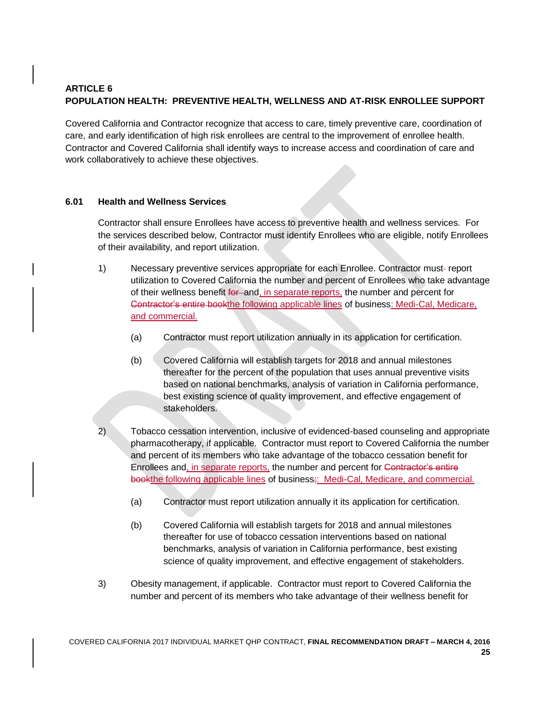# **ARTICLE 6 POPULATION HEALTH: PREVENTIVE HEALTH, WELLNESS AND AT-RISK ENROLLEE SUPPORT**

Covered California and Contractor recognize that access to care, timely preventive care, coordination of care, and early identification of high risk enrollees are central to the improvement of enrollee health. Contractor and Covered California shall identify ways to increase access and coordination of care and work collaboratively to achieve these objectives.

### **6.01 Health and Wellness Services**

Contractor shall ensure Enrollees have access to preventive health and wellness services. For the services described below, Contractor must identify Enrollees who are eligible, notify Enrollees of their availability, and report utilization.

- 1) Necessary preventive services appropriate for each Enrollee. Contractor must-report utilization to Covered California the number and percent of Enrollees who take advantage of their wellness benefit for and, in separate reports, the number and percent for Contractor's entire bookthe following applicable lines of business: Medi-Cal, Medicare, and commercial.
	- (a) Contractor must report utilization annually in its application for certification.
	- (b) Covered California will establish targets for 2018 and annual milestones thereafter for the percent of the population that uses annual preventive visits based on national benchmarks, analysis of variation in California performance, best existing science of quality improvement, and effective engagement of stakeholders.
- 2) Tobacco cessation intervention, inclusive of evidenced-based counseling and appropriate pharmacotherapy, if applicable. Contractor must report to Covered California the number and percent of its members who take advantage of the tobacco cessation benefit for Enrollees and, in separate reports, the number and percent for Contractor's entire bookthe following applicable lines of business;: Medi-Cal, Medicare, and commercial.
	- (a) Contractor must report utilization annually it its application for certification.
	- (b) Covered California will establish targets for 2018 and annual milestones thereafter for use of tobacco cessation interventions based on national benchmarks, analysis of variation in California performance, best existing science of quality improvement, and effective engagement of stakeholders.
- 3) Obesity management, if applicable. Contractor must report to Covered California the number and percent of its members who take advantage of their wellness benefit for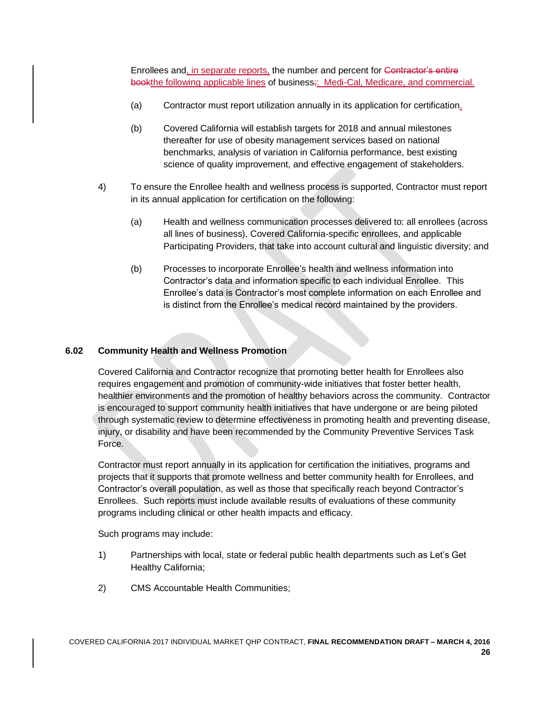Enrollees and, in separate reports, the number and percent for Contractor's entire bookthe following applicable lines of business;: Medi-Cal, Medicare, and commercial.

- (a) Contractor must report utilization annually in its application for certification.
- (b) Covered California will establish targets for 2018 and annual milestones thereafter for use of obesity management services based on national benchmarks, analysis of variation in California performance, best existing science of quality improvement, and effective engagement of stakeholders.
- 4) To ensure the Enrollee health and wellness process is supported, Contractor must report in its annual application for certification on the following:
	- (a) Health and wellness communication processes delivered to: all enrollees (across all lines of business), Covered California-specific enrollees, and applicable Participating Providers, that take into account cultural and linguistic diversity; and
	- (b) Processes to incorporate Enrollee's health and wellness information into Contractor's data and information specific to each individual Enrollee. This Enrollee's data is Contractor's most complete information on each Enrollee and is distinct from the Enrollee's medical record maintained by the providers.

### **6.02 Community Health and Wellness Promotion**

Covered California and Contractor recognize that promoting better health for Enrollees also requires engagement and promotion of community-wide initiatives that foster better health, healthier environments and the promotion of healthy behaviors across the community. Contractor is encouraged to support community health initiatives that have undergone or are being piloted through systematic review to determine effectiveness in promoting health and preventing disease, injury, or disability and have been recommended by the Community Preventive Services Task Force.

Contractor must report annually in its application for certification the initiatives, programs and projects that it supports that promote wellness and better community health for Enrollees, and Contractor's overall population, as well as those that specifically reach beyond Contractor's Enrollees. Such reports must include available results of evaluations of these community programs including clinical or other health impacts and efficacy.

Such programs may include:

- 1) Partnerships with local, state or federal public health departments such as Let's Get Healthy California;
- 2) CMS Accountable Health Communities;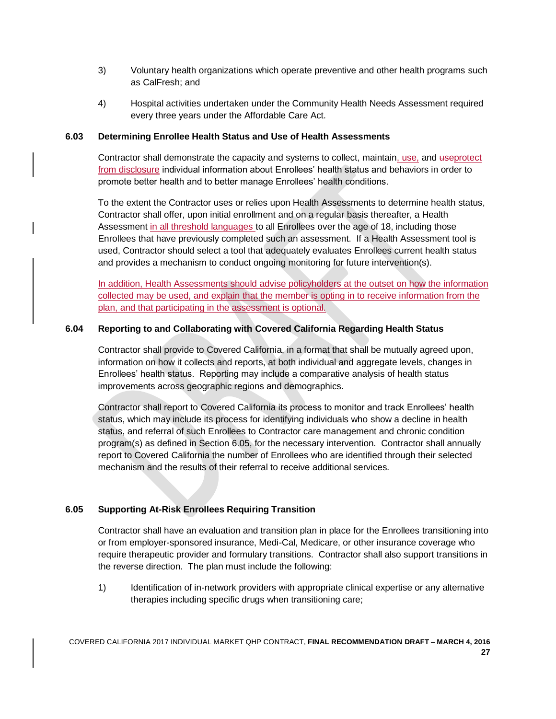- 3) Voluntary health organizations which operate preventive and other health programs such as CalFresh; and
- 4) Hospital activities undertaken under the Community Health Needs Assessment required every three years under the Affordable Care Act.

### **6.03 Determining Enrollee Health Status and Use of Health Assessments**

Contractor shall demonstrate the capacity and systems to collect, maintain, use, and useprotect from disclosure individual information about Enrollees' health status and behaviors in order to promote better health and to better manage Enrollees' health conditions.

To the extent the Contractor uses or relies upon Health Assessments to determine health status, Contractor shall offer, upon initial enrollment and on a regular basis thereafter, a Health Assessment in all threshold languages to all Enrollees over the age of 18, including those Enrollees that have previously completed such an assessment. If a Health Assessment tool is used, Contractor should select a tool that adequately evaluates Enrollees current health status and provides a mechanism to conduct ongoing monitoring for future intervention(s).

In addition, Health Assessments should advise policyholders at the outset on how the information collected may be used, and explain that the member is opting in to receive information from the plan, and that participating in the assessment is optional.

### **6.04 Reporting to and Collaborating with Covered California Regarding Health Status**

Contractor shall provide to Covered California, in a format that shall be mutually agreed upon, information on how it collects and reports, at both individual and aggregate levels, changes in Enrollees' health status. Reporting may include a comparative analysis of health status improvements across geographic regions and demographics.

Contractor shall report to Covered California its process to monitor and track Enrollees' health status, which may include its process for identifying individuals who show a decline in health status, and referral of such Enrollees to Contractor care management and chronic condition program(s) as defined in Section 6.05, for the necessary intervention. Contractor shall annually report to Covered California the number of Enrollees who are identified through their selected mechanism and the results of their referral to receive additional services.

### **6.05 Supporting At-Risk Enrollees Requiring Transition**

Contractor shall have an evaluation and transition plan in place for the Enrollees transitioning into or from employer-sponsored insurance, Medi-Cal, Medicare, or other insurance coverage who require therapeutic provider and formulary transitions. Contractor shall also support transitions in the reverse direction. The plan must include the following:

1) Identification of in-network providers with appropriate clinical expertise or any alternative therapies including specific drugs when transitioning care;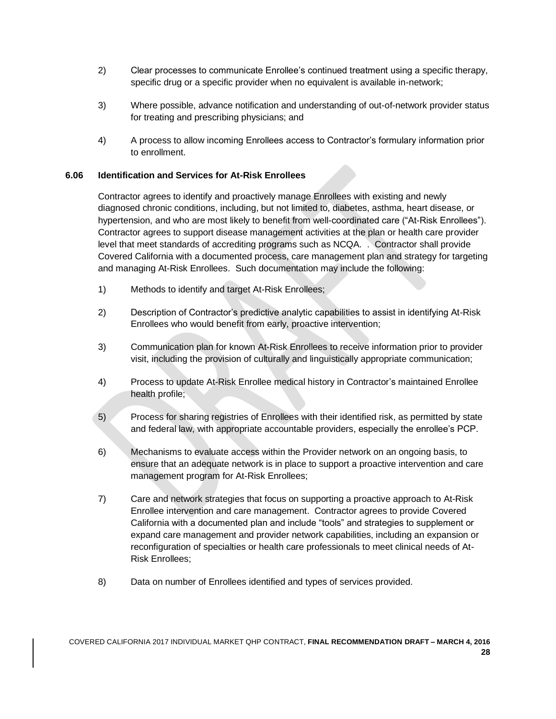- 2) Clear processes to communicate Enrollee's continued treatment using a specific therapy, specific drug or a specific provider when no equivalent is available in-network;
- 3) Where possible, advance notification and understanding of out-of-network provider status for treating and prescribing physicians; and
- 4) A process to allow incoming Enrollees access to Contractor's formulary information prior to enrollment.

### **6.06 Identification and Services for At-Risk Enrollees**

Contractor agrees to identify and proactively manage Enrollees with existing and newly diagnosed chronic conditions, including, but not limited to, diabetes, asthma, heart disease, or hypertension, and who are most likely to benefit from well-coordinated care ("At-Risk Enrollees"). Contractor agrees to support disease management activities at the plan or health care provider level that meet standards of accrediting programs such as NCQA. . Contractor shall provide Covered California with a documented process, care management plan and strategy for targeting and managing At-Risk Enrollees. Such documentation may include the following:

- 1) Methods to identify and target At-Risk Enrollees;
- 2) Description of Contractor's predictive analytic capabilities to assist in identifying At-Risk Enrollees who would benefit from early, proactive intervention;
- 3) Communication plan for known At-Risk Enrollees to receive information prior to provider visit, including the provision of culturally and linguistically appropriate communication;
- 4) Process to update At-Risk Enrollee medical history in Contractor's maintained Enrollee health profile;
- 5) Process for sharing registries of Enrollees with their identified risk, as permitted by state and federal law, with appropriate accountable providers, especially the enrollee's PCP.
- 6) Mechanisms to evaluate access within the Provider network on an ongoing basis, to ensure that an adequate network is in place to support a proactive intervention and care management program for At-Risk Enrollees;
- 7) Care and network strategies that focus on supporting a proactive approach to At-Risk Enrollee intervention and care management. Contractor agrees to provide Covered California with a documented plan and include "tools" and strategies to supplement or expand care management and provider network capabilities, including an expansion or reconfiguration of specialties or health care professionals to meet clinical needs of At-Risk Enrollees;
- 8) Data on number of Enrollees identified and types of services provided.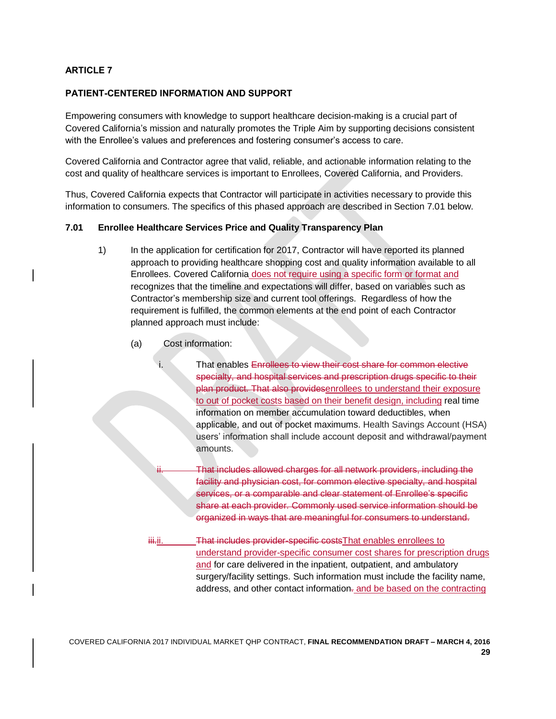# **ARTICLE 7**

### **PATIENT-CENTERED INFORMATION AND SUPPORT**

Empowering consumers with knowledge to support healthcare decision-making is a crucial part of Covered California's mission and naturally promotes the Triple Aim by supporting decisions consistent with the Enrollee's values and preferences and fostering consumer's access to care.

Covered California and Contractor agree that valid, reliable, and actionable information relating to the cost and quality of healthcare services is important to Enrollees, Covered California, and Providers.

Thus, Covered California expects that Contractor will participate in activities necessary to provide this information to consumers. The specifics of this phased approach are described in Section 7.01 below.

#### **7.01 Enrollee Healthcare Services Price and Quality Transparency Plan**

- 1) In the application for certification for 2017, Contractor will have reported its planned approach to providing healthcare shopping cost and quality information available to all Enrollees. Covered California does not require using a specific form or format and recognizes that the timeline and expectations will differ, based on variables such as Contractor's membership size and current tool offerings. Regardless of how the requirement is fulfilled, the common elements at the end point of each Contractor planned approach must include:
	- (a) Cost information:

That enables Enrollees to view their cost share for common elective specialty, and hospital services and prescription drugs specific to their plan product. That also providesenrollees to understand their exposure to out of pocket costs based on their benefit design, including real time information on member accumulation toward deductibles, when applicable, and out of pocket maximums. Health Savings Account (HSA) users' information shall include account deposit and withdrawal/payment amounts.

That includes allowed charges for all network providers, including the facility and physician cost, for common elective specialty, and hospital services, or a comparable and clear statement of Enrollee's specific share at each provider. Commonly used service information should be organized in ways that are meaningful for consumers to understand.

iii.ii. That includes provider-specific costsThat enables enrollees to understand provider-specific consumer cost shares for prescription drugs and for care delivered in the inpatient, outpatient, and ambulatory surgery/facility settings. Such information must include the facility name, address, and other contact information-and be based on the contracting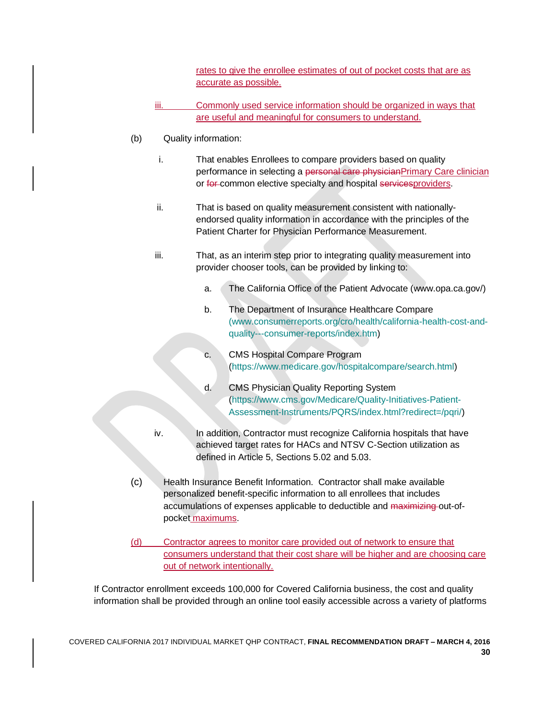rates to give the enrollee estimates of out of pocket costs that are as accurate as possible.

- iii. Commonly used service information should be organized in ways that are useful and meaningful for consumers to understand.
- (b) Quality information:
	- i. That enables Enrollees to compare providers based on quality performance in selecting a personal care physicianPrimary Care clinician or for common elective specialty and hospital services providers.
	- ii. That is based on quality measurement consistent with nationallyendorsed quality information in accordance with the principles of the Patient Charter for Physician Performance Measurement.
	- iii. That, as an interim step prior to integrating quality measurement into provider chooser tools, can be provided by linking to:
		- a. The California Office of the Patient Advocate (www.opa.ca.gov/)
		- b. The Department of Insurance Healthcare Compare [\(www.consumerreports.org/cro/health/california-health-cost-and](http://(www.consumerreports.org/cro/health/california-health-cost-and-quality---consumer-reports/index.htm)[quality---consumer-reports/index.htm\)](http://(www.consumerreports.org/cro/health/california-health-cost-and-quality---consumer-reports/index.htm)
		- c. CMS Hospital Compare Program [\(https://www.medicare.gov/hospitalcompare/search.html\)](https://www.medicare.gov/hospitalcompare/search.html)
		- d. CMS Physician Quality Reporting System [\(https://www.cms.gov/Medicare/Quality-Initiatives-Patient-](https://www.cms.gov/Medicare/Quality-Initiatives-Patient-Assessment-Instruments/PQRS/index.html?redirect=/pqri/)[Assessment-Instruments/PQRS/index.html?redirect=/pqri/\)](https://www.cms.gov/Medicare/Quality-Initiatives-Patient-Assessment-Instruments/PQRS/index.html?redirect=/pqri/)
	- iv. In addition, Contractor must recognize California hospitals that have achieved target rates for HACs and NTSV C-Section utilization as defined in Article 5, Sections 5.02 and 5.03.
- (c) Health Insurance Benefit Information. Contractor shall make available personalized benefit-specific information to all enrollees that includes accumulations of expenses applicable to deductible and maximizing out-ofpocket maximums.
- (d) Contractor agrees to monitor care provided out of network to ensure that consumers understand that their cost share will be higher and are choosing care out of network intentionally.

If Contractor enrollment exceeds 100,000 for Covered California business, the cost and quality information shall be provided through an online tool easily accessible across a variety of platforms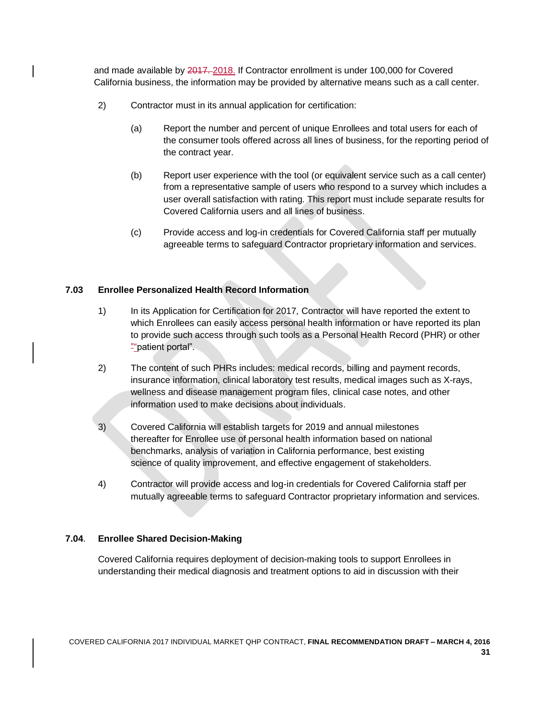and made available by 2017. 2018. If Contractor enrollment is under 100,000 for Covered California business, the information may be provided by alternative means such as a call center.

- 2) Contractor must in its annual application for certification:
	- (a) Report the number and percent of unique Enrollees and total users for each of the consumer tools offered across all lines of business, for the reporting period of the contract year.
	- (b) Report user experience with the tool (or equivalent service such as a call center) from a representative sample of users who respond to a survey which includes a user overall satisfaction with rating. This report must include separate results for Covered California users and all lines of business.
	- (c) Provide access and log-in credentials for Covered California staff per mutually agreeable terms to safeguard Contractor proprietary information and services.

# **7.03 Enrollee Personalized Health Record Information**

- 1) In its Application for Certification for 2017, Contractor will have reported the extent to which Enrollees can easily access personal health information or have reported its plan to provide such access through such tools as a Personal Health Record (PHR) or other ""patient portal".
- 2) The content of such PHRs includes: medical records, billing and payment records, insurance information, clinical laboratory test results, medical images such as X-rays, wellness and disease management program files, clinical case notes, and other information used to make decisions about individuals.
- 3) Covered California will establish targets for 2019 and annual milestones thereafter for Enrollee use of personal health information based on national benchmarks, analysis of variation in California performance, best existing science of quality improvement, and effective engagement of stakeholders.
- 4) Contractor will provide access and log-in credentials for Covered California staff per mutually agreeable terms to safeguard Contractor proprietary information and services.

### **7.04**. **Enrollee Shared Decision-Making**

Covered California requires deployment of decision-making tools to support Enrollees in understanding their medical diagnosis and treatment options to aid in discussion with their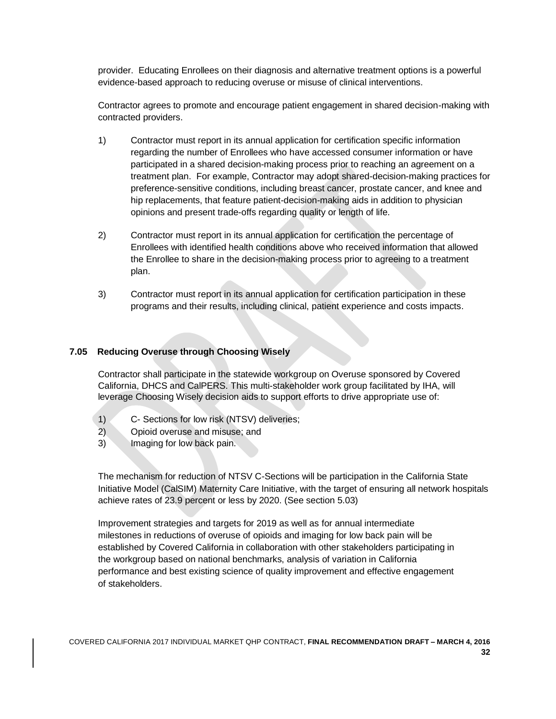provider. Educating Enrollees on their diagnosis and alternative treatment options is a powerful evidence-based approach to reducing overuse or misuse of clinical interventions.

Contractor agrees to promote and encourage patient engagement in shared decision-making with contracted providers.

- 1) Contractor must report in its annual application for certification specific information regarding the number of Enrollees who have accessed consumer information or have participated in a shared decision-making process prior to reaching an agreement on a treatment plan. For example, Contractor may adopt shared-decision-making practices for preference-sensitive conditions, including breast cancer, prostate cancer, and knee and hip replacements, that feature patient-decision-making aids in addition to physician opinions and present trade-offs regarding quality or length of life.
- 2) Contractor must report in its annual application for certification the percentage of Enrollees with identified health conditions above who received information that allowed the Enrollee to share in the decision-making process prior to agreeing to a treatment plan.
- 3) Contractor must report in its annual application for certification participation in these programs and their results, including clinical, patient experience and costs impacts.

### **7.05 Reducing Overuse through Choosing Wisely**

Contractor shall participate in the statewide workgroup on Overuse sponsored by Covered California, DHCS and CalPERS. This multi-stakeholder work group facilitated by IHA, will leverage Choosing Wisely decision aids to support efforts to drive appropriate use of:

- 1) C- Sections for low risk (NTSV) deliveries;
- 2) Opioid overuse and misuse; and
- 3) Imaging for low back pain.

The mechanism for reduction of NTSV C-Sections will be participation in the California State Initiative Model (CalSIM) Maternity Care Initiative, with the target of ensuring all network hospitals achieve rates of 23.9 percent or less by 2020. (See section 5.03)

Improvement strategies and targets for 2019 as well as for annual intermediate milestones in reductions of overuse of opioids and imaging for low back pain will be established by Covered California in collaboration with other stakeholders participating in the workgroup based on national benchmarks, analysis of variation in California performance and best existing science of quality improvement and effective engagement of stakeholders.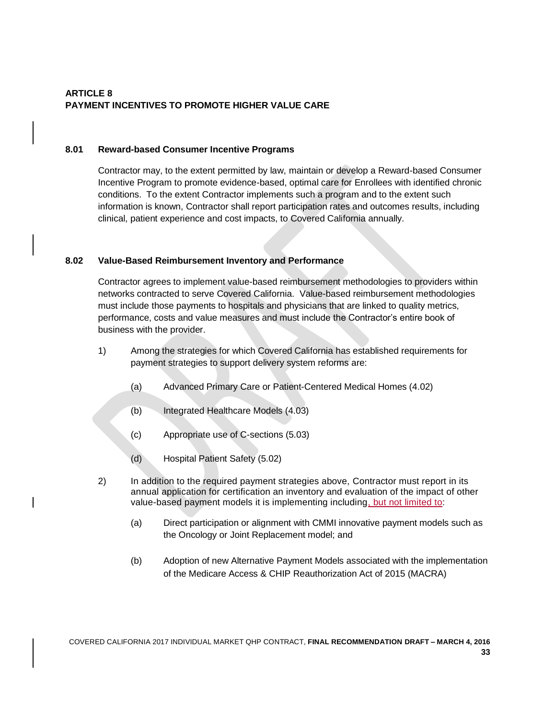# **ARTICLE 8 PAYMENT INCENTIVES TO PROMOTE HIGHER VALUE CARE**

### **8.01 Reward-based Consumer Incentive Programs**

Contractor may, to the extent permitted by law, maintain or develop a Reward-based Consumer Incentive Program to promote evidence-based, optimal care for Enrollees with identified chronic conditions. To the extent Contractor implements such a program and to the extent such information is known, Contractor shall report participation rates and outcomes results, including clinical, patient experience and cost impacts, to Covered California annually.

### **8.02 Value-Based Reimbursement Inventory and Performance**

Contractor agrees to implement value-based reimbursement methodologies to providers within networks contracted to serve Covered California. Value-based reimbursement methodologies must include those payments to hospitals and physicians that are linked to quality metrics, performance, costs and value measures and must include the Contractor's entire book of business with the provider.

- 1) Among the strategies for which Covered California has established requirements for payment strategies to support delivery system reforms are:
	- (a) Advanced Primary Care or Patient-Centered Medical Homes (4.02)
	- (b) Integrated Healthcare Models (4.03)
	- (c) Appropriate use of C-sections (5.03)
	- (d) Hospital Patient Safety (5.02)
- 2) In addition to the required payment strategies above, Contractor must report in its annual application for certification an inventory and evaluation of the impact of other value-based payment models it is implementing including, but not limited to:
	- (a) Direct participation or alignment with CMMI innovative payment models such as the Oncology or Joint Replacement model; and
	- (b) Adoption of new Alternative Payment Models associated with the implementation of the Medicare Access & [CHIP](http://www.insurekidsnow.gov/chip/index.html) Reauthorization Act of 2015 (MACRA)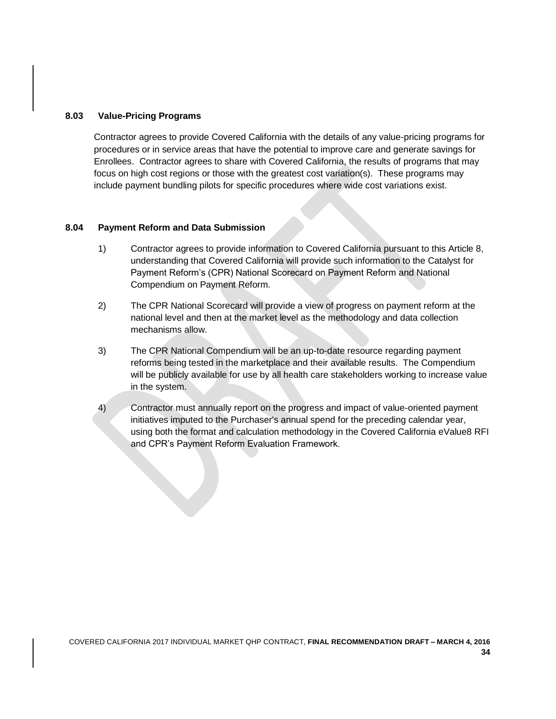#### **8.03 Value-Pricing Programs**

Contractor agrees to provide Covered California with the details of any value-pricing programs for procedures or in service areas that have the potential to improve care and generate savings for Enrollees. Contractor agrees to share with Covered California, the results of programs that may focus on high cost regions or those with the greatest cost variation(s). These programs may include payment bundling pilots for specific procedures where wide cost variations exist.

### **8.04 Payment Reform and Data Submission**

- 1) Contractor agrees to provide information to Covered California pursuant to this Article 8, understanding that Covered California will provide such information to the Catalyst for Payment Reform's (CPR) National Scorecard on Payment Reform and National Compendium on Payment Reform.
- 2) The CPR National Scorecard will provide a view of progress on payment reform at the national level and then at the market level as the methodology and data collection mechanisms allow.
- 3) The CPR National Compendium will be an up-to-date resource regarding payment reforms being tested in the marketplace and their available results. The Compendium will be publicly available for use by all health care stakeholders working to increase value in the system.
- 4) Contractor must annually report on the progress and impact of value-oriented payment initiatives imputed to the Purchaser's annual spend for the preceding calendar year, using both the format and calculation methodology in the Covered California eValue8 RFI and CPR's Payment Reform Evaluation Framework.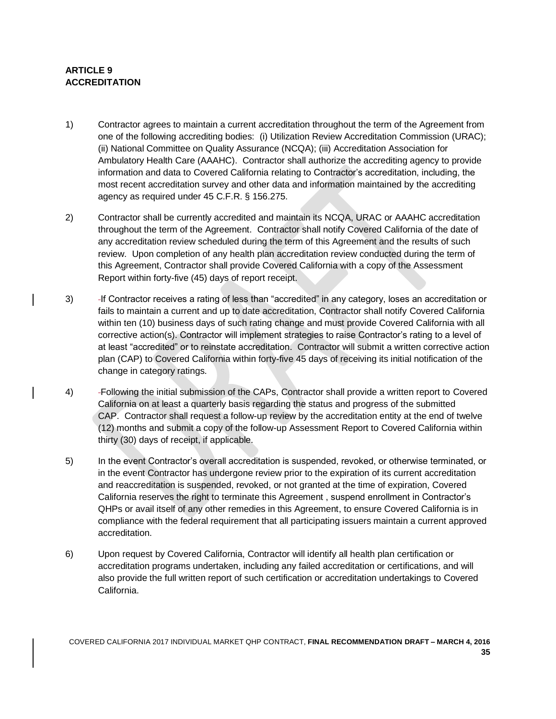# **ARTICLE 9 ACCREDITATION**

- 1) Contractor agrees to maintain a current accreditation throughout the term of the Agreement from one of the following accrediting bodies: (i) Utilization Review Accreditation Commission (URAC); (ii) National Committee on Quality Assurance (NCQA); (iii) Accreditation Association for Ambulatory Health Care (AAAHC). Contractor shall authorize the accrediting agency to provide information and data to Covered California relating to Contractor's accreditation, including, the most recent accreditation survey and other data and information maintained by the accrediting agency as required under 45 C.F.R. § 156.275.
- 2) Contractor shall be currently accredited and maintain its NCQA, URAC or AAAHC accreditation throughout the term of the Agreement. Contractor shall notify Covered California of the date of any accreditation review scheduled during the term of this Agreement and the results of such review. Upon completion of any health plan accreditation review conducted during the term of this Agreement, Contractor shall provide Covered California with a copy of the Assessment Report within forty-five (45) days of report receipt.
- 3) If Contractor receives a rating of less than "accredited" in any category, loses an accreditation or fails to maintain a current and up to date accreditation, Contractor shall notify Covered California within ten (10) business days of such rating change and must provide Covered California with all corrective action(s). Contractor will implement strategies to raise Contractor's rating to a level of at least "accredited" or to reinstate accreditation. Contractor will submit a written corrective action plan (CAP) to Covered California within forty-five 45 days of receiving its initial notification of the change in category ratings.
- 4) Following the initial submission of the CAPs, Contractor shall provide a written report to Covered California on at least a quarterly basis regarding the status and progress of the submitted CAP. Contractor shall request a follow-up review by the accreditation entity at the end of twelve (12) months and submit a copy of the follow-up Assessment Report to Covered California within thirty (30) days of receipt, if applicable.
- 5) In the event Contractor's overall accreditation is suspended, revoked, or otherwise terminated, or in the event Contractor has undergone review prior to the expiration of its current accreditation and reaccreditation is suspended, revoked, or not granted at the time of expiration, Covered California reserves the right to terminate this Agreement , suspend enrollment in Contractor's QHPs or avail itself of any other remedies in this Agreement, to ensure Covered California is in compliance with the federal requirement that all participating issuers maintain a current approved accreditation.
- 6) Upon request by Covered California, Contractor will identify all health plan certification or accreditation programs undertaken, including any failed accreditation or certifications, and will also provide the full written report of such certification or accreditation undertakings to Covered California.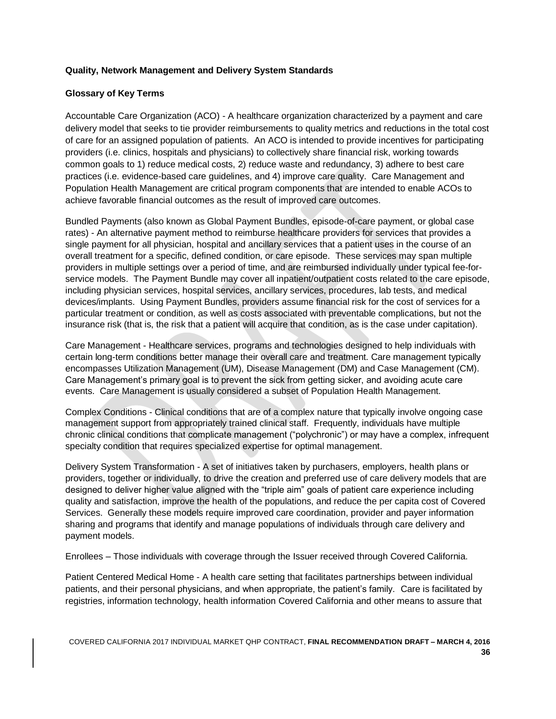### **Quality, Network Management and Delivery System Standards**

### **Glossary of Key Terms**

Accountable Care Organization (ACO) - A healthcare organization characterized by a payment and care delivery model that seeks to tie provider reimbursements to quality metrics and reductions in the total cost of care for an assigned population of patients. An ACO is intended to provide incentives for participating providers (i.e. clinics, hospitals and physicians) to collectively share financial risk, working towards common goals to 1) reduce medical costs, 2) reduce waste and redundancy, 3) adhere to best care practices (i.e. evidence-based care guidelines, and 4) improve care quality. Care Management and Population Health Management are critical program components that are intended to enable ACOs to achieve favorable financial outcomes as the result of improved care outcomes.

Bundled Payments (also known as Global Payment Bundles, episode-of-care payment, or global case rates) - An alternative payment method to reimburse healthcare providers for services that provides a single payment for all physician, hospital and ancillary services that a patient uses in the course of an overall treatment for a specific, defined condition, or care episode. These services may span multiple providers in multiple settings over a period of time, and are reimbursed individually under typical fee-forservice models. The Payment Bundle may cover all inpatient/outpatient costs related to the care episode, including physician services, hospital services, ancillary services, procedures, lab tests, and medical devices/implants. Using Payment Bundles, providers assume financial risk for the cost of services for a particular treatment or condition, as well as costs associated with preventable complications, but not the insurance risk (that is, the risk that a patient will acquire that condition, as is the case under capitation).

Care Management - Healthcare services, programs and technologies designed to help individuals with certain long-term conditions better manage their overall care and treatment. Care management typically encompasses Utilization Management (UM), Disease Management (DM) and Case Management (CM). Care Management's primary goal is to prevent the sick from getting sicker, and avoiding acute care events. Care Management is usually considered a subset of Population Health Management.

Complex Conditions - Clinical conditions that are of a complex nature that typically involve ongoing case management support from appropriately trained clinical staff. Frequently, individuals have multiple chronic clinical conditions that complicate management ("polychronic") or may have a complex, infrequent specialty condition that requires specialized expertise for optimal management.

Delivery System Transformation - A set of initiatives taken by purchasers, employers, health plans or providers, together or individually, to drive the creation and preferred use of care delivery models that are designed to deliver higher value aligned with the "triple aim" goals of patient care experience including quality and satisfaction, improve the health of the populations, and reduce the per capita cost of Covered Services. Generally these models require improved care coordination, provider and payer information sharing and programs that identify and manage populations of individuals through care delivery and payment models.

Enrollees – Those individuals with coverage through the Issuer received through Covered California.

Patient Centered Medical Home - A health care setting that facilitates partnerships between individual patients, and their personal physicians, and when appropriate, the patient's family. Care is facilitated by registries, information technology, health information Covered California and other means to assure that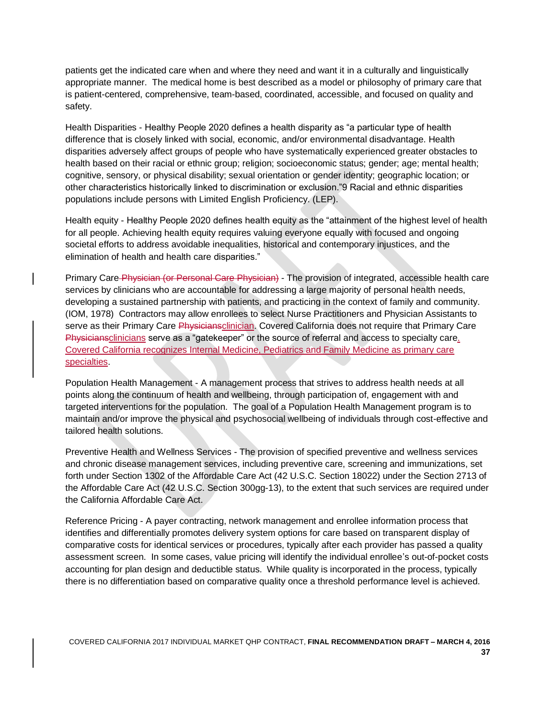patients get the indicated care when and where they need and want it in a culturally and linguistically appropriate manner. The medical home is best described as a model or philosophy of primary care that is patient-centered, comprehensive, team-based, coordinated, accessible, and focused on quality and safety.

Health Disparities - Healthy People 2020 defines a health disparity as "a particular type of health difference that is closely linked with social, economic, and/or environmental disadvantage. Health disparities adversely affect groups of people who have systematically experienced greater obstacles to health based on their racial or ethnic group; religion; socioeconomic status; gender; age; mental health; cognitive, sensory, or physical disability; sexual orientation or gender identity; geographic location; or other characteristics historically linked to discrimination or exclusion."9 Racial and ethnic disparities populations include persons with Limited English Proficiency. (LEP).

Health equity - Healthy People 2020 defines health equity as the "attainment of the highest level of health for all people. Achieving health equity requires valuing everyone equally with focused and ongoing societal efforts to address avoidable inequalities, historical and contemporary injustices, and the elimination of health and health care disparities."

Primary Care Physician (or Personal Care Physician) - The provision of integrated, accessible health care services by clinicians who are accountable for addressing a large majority of personal health needs, developing a sustained partnership with patients, and practicing in the context of family and community. (IOM, 1978) Contractors may allow enrollees to select Nurse Practitioners and Physician Assistants to serve as their Primary Care Physiciansclinician. Covered California does not require that Primary Care Physiciansclinicians serve as a "gatekeeper" or the source of referral and access to specialty care. Covered California recognizes Internal Medicine, Pediatrics and Family Medicine as primary care specialties.

Population Health Management - A management process that strives to address health needs at all points along the continuum of health and wellbeing, through participation of, engagement with and targeted interventions for the population. The goal of a Population Health Management program is to maintain and/or improve the physical and psychosocial wellbeing of individuals through cost-effective and tailored health solutions.

Preventive Health and Wellness Services - The provision of specified preventive and wellness services and chronic disease management services, including preventive care, screening and immunizations, set forth under Section 1302 of the Affordable Care Act (42 U.S.C. Section 18022) under the Section 2713 of the Affordable Care Act (42 U.S.C. Section 300gg-13), to the extent that such services are required under the California Affordable Care Act.

Reference Pricing - A payer contracting, network management and enrollee information process that identifies and differentially promotes delivery system options for care based on transparent display of comparative costs for identical services or procedures, typically after each provider has passed a quality assessment screen. In some cases, value pricing will identify the individual enrollee's out-of-pocket costs accounting for plan design and deductible status. While quality is incorporated in the process, typically there is no differentiation based on comparative quality once a threshold performance level is achieved.